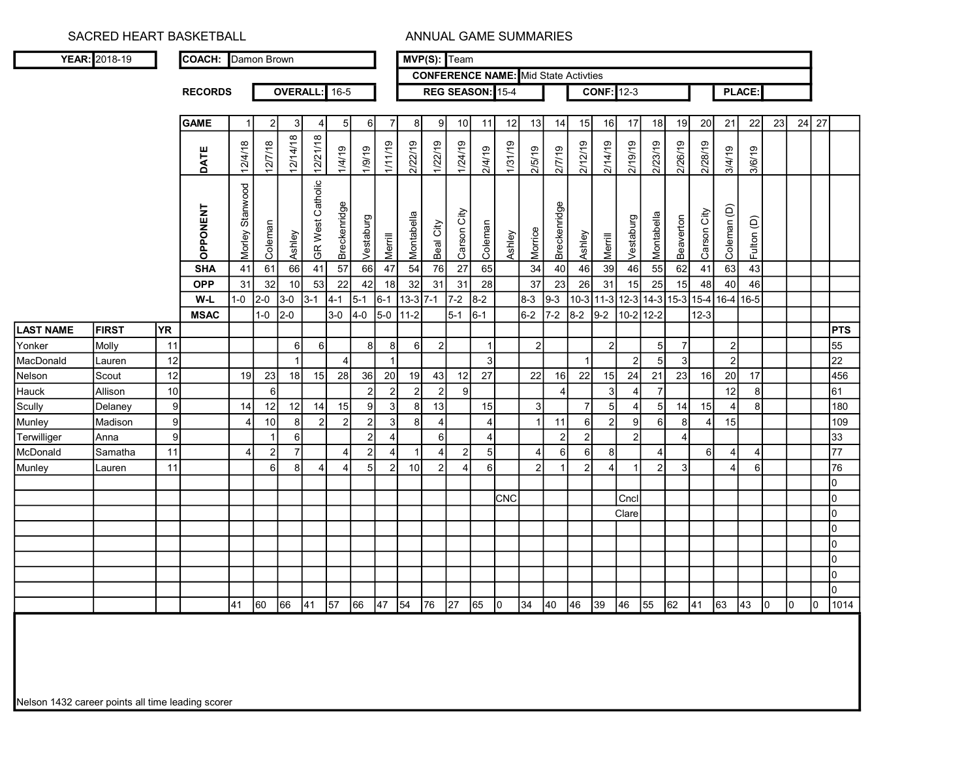| YEAR: 2018-19                                 |                 | <b>COACH:</b> Damon Brown     |                           |                |                      |                        |                    |                 |                |                  |                 | MVP(S): Team      |                  |         |                                                                                          |                    |                |                   |                                         |                  |                 |                   |                   |                  |    |           |       |                  |
|-----------------------------------------------|-----------------|-------------------------------|---------------------------|----------------|----------------------|------------------------|--------------------|-----------------|----------------|------------------|-----------------|-------------------|------------------|---------|------------------------------------------------------------------------------------------|--------------------|----------------|-------------------|-----------------------------------------|------------------|-----------------|-------------------|-------------------|------------------|----|-----------|-------|------------------|
|                                               |                 |                               |                           |                |                      |                        |                    |                 |                |                  |                 |                   |                  |         | <b>CONFERENCE NAME:</b> Mid State Activties                                              |                    |                |                   |                                         |                  |                 |                   |                   |                  |    |           |       |                  |
|                                               |                 | <b>RECORDS</b>                |                           |                | <b>OVERALL:</b> 16-5 |                        |                    |                 |                |                  |                 |                   | REG SEASON: 15-4 |         |                                                                                          |                    |                | <b>CONF: 12-3</b> |                                         |                  |                 |                   |                   | <b>PLACE:</b>    |    |           |       |                  |
|                                               |                 |                               |                           |                |                      |                        |                    |                 |                |                  |                 |                   |                  |         |                                                                                          |                    |                |                   |                                         |                  |                 |                   |                   |                  |    |           |       |                  |
|                                               |                 | <b>GAME</b>                   |                           |                | 3                    | 4                      | -5                 | 6               |                | 8                | 9               | 10                | 11               | 12      | 13                                                                                       | 14                 | 15             | 16                | 17                                      | 18               | 19              | 20                | 21                | 22               | 23 |           | 24 27 |                  |
|                                               |                 | DATE                          | 12/4/18                   | 12/7/18        | 12/14/18             | 12/21/18               | 1/4/19             | 1/9/19          | 21/11/19       | 2/22/19          | 1/22/19         | 1/24/19           | 2/4/19           | 1/31/19 | 2/5/19                                                                                   | 2/7/19             | 2/12/19        | 2/14/19           | 2/19/19                                 | 2/23/19          | 2/26/19         | 2/28/19           | 3/4/19            | 3/6/19           |    |           |       |                  |
|                                               |                 | <b>OPPONENT</b><br><b>SHA</b> | Stanwood<br>Morley:<br>41 | Coleman<br>61  | Ashley<br>66         | GR West Catholic<br>41 | Breckenridge<br>57 | Vestaburg<br>66 | Merrill<br>47  | Montabella<br>54 | Beal City<br>76 | Carson City<br>27 | Coleman<br>65    | Ashley  | Morrice<br>34                                                                            | Breckenridge<br>40 | Ashley<br>46   | Merrill<br>39     | Vestaburg<br>46                         | Montabella<br>55 | Beaverton<br>62 | Carson City<br>41 | Coleman (D)<br>63 | Fulton (D)<br>43 |    |           |       |                  |
|                                               |                 | <b>OPP</b>                    | 31                        | 32             | 10                   | 53                     | 22                 | 42              | 18             | 32               | 31              | 31                | 28               |         | 37                                                                                       | 23                 | 26             | 31                | 15                                      | 25               | 15              | 48                | 40                | 46               |    |           |       |                  |
|                                               |                 | W-L                           | $1-0$                     | $2-0$          | $3-0$                | $3 - 1$                | $ 4-1 $            | $5-1$           | $6 - 1$        | $13-3$ 7-1       |                 | $7-2$             | $8-2$            |         | $8-3$                                                                                    | $9 - 3$            |                |                   | 10-3 11-3 12-3 14-3 15-3 15-4 16-4 16-5 |                  |                 |                   |                   |                  |    |           |       |                  |
|                                               |                 | <b>MSAC</b>                   |                           | $1-0$          | $2-0$                |                        | $3-0$              | $4-0$           | $5-0$          | $11-2$           |                 | $5-1$             | $6 - 1$          |         | $6-2$                                                                                    | $7-2$              | $8 - 2$        | $9-2$             | 10-2 12-2                               |                  |                 | $12-3$            |                   |                  |    |           |       |                  |
| <b>LAST NAME</b><br><b>FIRST</b><br><b>YR</b> |                 |                               |                           |                |                      |                        |                    |                 |                |                  |                 |                   |                  |         |                                                                                          |                    |                |                   |                                         |                  |                 |                   |                   |                  |    |           |       | <b>PTS</b>       |
| Molly<br>Yonker                               | 11              |                               |                           |                | 6                    | $6 \mid$               |                    | 8               | 8              | $6 \mid$         | $\overline{2}$  |                   |                  |         | $\overline{c}$                                                                           |                    |                | $\mathbf{2}$      |                                         | 5 <sub>l</sub>   | $\overline{7}$  |                   | $\overline{2}$    |                  |    |           |       | 55               |
| MacDonald<br>Lauren                           | 12              |                               |                           |                |                      |                        |                    |                 |                |                  |                 |                   | 3                |         |                                                                                          |                    |                |                   | $2\vert$                                | 5                | 3               |                   | $\overline{2}$    |                  |    |           |       | 22               |
| Scout<br>Nelson                               | 12              |                               | 19                        | 23             | 18                   | 15                     | 28                 | 36              | 20             | 19               | 43              | 12                | 27               |         | 22                                                                                       | 16                 | 22             | 15                | 24                                      | 21               | 23              | 16                | 20                | 17               |    |           |       | 456              |
| Allison<br>Hauck                              | 10              |                               |                           | $6 \mid$       |                      |                        |                    | $\overline{2}$  | $\overline{2}$ | $\overline{2}$   | $\overline{2}$  | 9                 |                  |         |                                                                                          |                    |                | $\mathbf{3}$      | 4 <sup>1</sup>                          | $\overline{7}$   |                 |                   | 12                | 8                |    |           |       | 61               |
| Scully<br>Delaney                             | 9               |                               | 14                        | 12             | 12                   | 14                     | 15                 | $\vert 9 \vert$ | 3              | -8               | 13              |                   | 15               |         | 3                                                                                        |                    | $\overline{7}$ | 5                 | $\overline{4}$                          | 5                | 14              | 15                |                   | 8                |    |           |       | 180              |
| Madison<br>Munley                             | 9               |                               | 4                         | 10             | 8                    | $\overline{2}$         | 2                  | $\vert$ 2       | $\overline{3}$ | -8               | $\overline{4}$  |                   | $\overline{4}$   |         |                                                                                          | 11                 | 6              | $\overline{2}$    | 9                                       | $6 \mid$         | 8               | 4                 | 15                |                  |    |           |       | 109              |
| Terwilliger<br>Anna                           | $\vert 9 \vert$ |                               |                           | -1             | 6                    |                        |                    | $\overline{2}$  |                |                  | 6               |                   | $\overline{4}$   |         |                                                                                          | っ                  | $\overline{2}$ |                   | $2\vert$                                |                  | $\overline{4}$  |                   |                   |                  |    |           |       | 33               |
| McDonald<br>Samatha                           | 11              |                               | 4 <sup>1</sup>            | $\overline{2}$ | $\overline{7}$       |                        | 4                  | $\overline{2}$  |                |                  | $\overline{4}$  | $\overline{2}$    | 5 <sub>5</sub>   |         | 4                                                                                        | 6                  | 6              | 8                 |                                         | $\overline{4}$   |                 | 6I                |                   | $\overline{4}$   |    |           |       | 77               |
| Munley<br>Lauren                              | 11              |                               |                           | 61             | 8                    | 4                      | $\overline{a}$     | 5 <sup>5</sup>  | $\overline{2}$ | 10               | $\overline{2}$  | 4                 | $6 \mid$         |         | 2 <sub>1</sub>                                                                           |                    | $\overline{2}$ | $\vert$           |                                         | 2                | $\mathbf{3}$    |                   | $\Delta$          | 6                |    |           |       | 76               |
|                                               |                 |                               |                           |                |                      |                        |                    |                 |                |                  |                 |                   |                  |         |                                                                                          |                    |                |                   |                                         |                  |                 |                   |                   |                  |    |           |       | lo.              |
|                                               |                 |                               |                           |                |                      |                        |                    |                 |                |                  |                 |                   |                  | CNC     |                                                                                          |                    |                |                   | Cncl                                    |                  |                 |                   |                   |                  |    |           |       | Io               |
|                                               |                 |                               |                           |                |                      |                        |                    |                 |                |                  |                 |                   |                  |         |                                                                                          |                    |                |                   | Clare                                   |                  |                 |                   |                   |                  |    |           |       | I٥               |
|                                               |                 |                               |                           |                |                      |                        |                    |                 |                |                  |                 |                   |                  |         |                                                                                          |                    |                |                   |                                         |                  |                 |                   |                   |                  |    |           |       | I٥               |
|                                               |                 |                               |                           |                |                      |                        |                    |                 |                |                  |                 |                   |                  |         |                                                                                          |                    |                |                   |                                         |                  |                 |                   |                   |                  |    |           |       | Iо               |
|                                               |                 |                               |                           |                |                      |                        |                    |                 |                |                  |                 |                   |                  |         |                                                                                          |                    |                |                   |                                         |                  |                 |                   |                   |                  |    |           |       | Iо               |
|                                               |                 |                               |                           |                |                      |                        |                    |                 |                |                  |                 |                   |                  |         |                                                                                          |                    |                |                   |                                         |                  |                 |                   |                   |                  |    |           |       | Iо               |
|                                               |                 |                               |                           |                |                      |                        |                    |                 |                |                  |                 |                   |                  |         |                                                                                          |                    |                |                   |                                         |                  |                 |                   |                   |                  |    |           |       | lo<br>$ 0 $ 1014 |
|                                               |                 |                               |                           |                |                      |                        |                    |                 |                |                  |                 |                   |                  |         | 41  60  66  41  57  66  47  54  76  27  65  0  34  40  46  39  46  55  62  41  63  43  0 |                    |                |                   |                                         |                  |                 |                   |                   |                  |    | $\vert$ 0 |       |                  |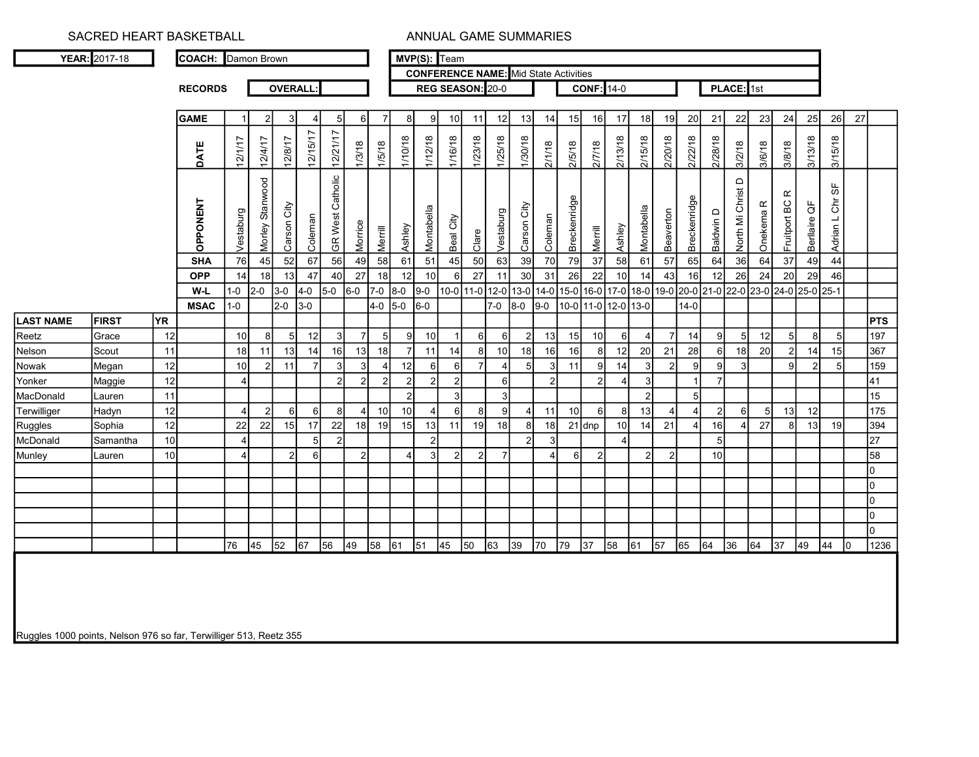| <b>YEAR: 2017-18</b> |  | <b>COACH:</b> Damon Brown |
|----------------------|--|---------------------------|

RECORDS

MVP(S): Team

OVERALL: REG SEASON: 20-0

0

CONFERENCE NAME: Mid State Activities

**CONF:** 14-0 **PLACE:** 1st

 $\overline{0}$ 0  $\overline{0}$ 

|                  |              |     | <b>GAME</b>     |           |                 | -3 I           |          | 5                          | -6             |                | 81              | 91              | 10             | 11      | 12 <sup>1</sup> | 13I            | 14              | 15 <sup>1</sup> | 16              | 17              | 18                                                                              | 19        | 20           | 21             | 22                | <b>23</b>            | 24                        | 25           | 26                               | 27 |                  |
|------------------|--------------|-----|-----------------|-----------|-----------------|----------------|----------|----------------------------|----------------|----------------|-----------------|-----------------|----------------|---------|-----------------|----------------|-----------------|-----------------|-----------------|-----------------|---------------------------------------------------------------------------------|-----------|--------------|----------------|-------------------|----------------------|---------------------------|--------------|----------------------------------|----|------------------|
|                  |              |     | DATE            | 12/1/17   | 12/4/17         | 12/8/17        | 12/15/17 | 12/21/17                   | 1/3/18         | 1/5/18         | 1/10/18         | 1/12/18         | 1/16/18        | 1/23/18 | 1/25/18         | 1/30/18        | 2/1/18          | 2/5/18          | 2/7/18          | 2/13/18         | 2/15/18                                                                         | 2/20/18   | 2/22/18      | 2/28/18        | 3/2/18            | 3/6/18               | 3/8/18                    | 3/13/18      | 3/15/18                          |    |                  |
|                  |              |     | <b>OPPONENT</b> | Vestaburg | Morley Stanwood | Carson City    | Coleman  | Catholic<br><b>GR</b> West | Morrice        | Merrill        | Ashley          | Montabella      | Beal City      | Clare   | Vestaburg       | Carson City    | Coleman         | Breckenridge    | Merrill         | Ashley          | Montabella                                                                      | Beaverton | Breckenridge | Baldwin D      | North Mi Christ D | Onekema <sub>R</sub> | $\propto$<br>Fruitport BC | Berllaire QF | 56<br>$\overline{5}$<br>Adrian L |    |                  |
|                  |              |     | <b>SHA</b>      | 76        | 45              | 52             | 67       | 56                         | 49             | 58             | 61              | 51              | 45             | 50      | 63              | 39             | 70              | 79              | 37'             | 58              | 61                                                                              | 57        | 65           | 64             | $36\,$            | 64                   | 37                        | 49           | 44                               |    |                  |
|                  |              |     | <b>OPP</b>      | 14        | 18              | 13             | 47       | 40                         | 27             | 18             | 12              | 10 <sup>1</sup> |                | 27      | 11              | 30             | 31              | 26              | 22              |                 | 14                                                                              | 43        |              | 12             | 26                | 24                   | 20                        | 29           | 46                               |    |                  |
|                  |              |     | W-L             | -0        | $2 - 0$         | $3-0$          | $4-0$    | $5-0$                      | $ 6-0$         | $7-0$          | 8-0             | $ 9-0 $         | $ 10-0 $       |         |                 |                |                 |                 |                 |                 | 11-0 12-0 13-0 14-0 15-0 16-0 17-0 18-0 19-0 20-0 21-0 22-0 23-0 24-0 25-0 25-1 |           |              |                |                   |                      |                           |              |                                  |    |                  |
|                  |              |     | <b>MSAC</b>     | -0        |                 | 2-0            | $3-0$    |                            |                | $4-0$ 5-0      |                 | $6-0$           |                |         | 7-0             | $8-0$          | $9-0$           |                 |                 |                 | 10-0 11-0 12-0 13-0                                                             |           | $14 - 0$     |                |                   |                      |                           |              |                                  |    |                  |
| <b>LAST NAME</b> | <b>FIRST</b> | YR. |                 |           |                 |                |          |                            |                |                |                 |                 |                |         |                 |                |                 |                 |                 |                 |                                                                                 |           |              |                |                   |                      |                           |              |                                  |    | <b>PTS</b>       |
| Reetz            | Grace        | 12  |                 | 10        |                 | 5              | 12       |                            |                | 5              | 9               | 10              |                |         | 61              |                | 13              | 15              | 10 <sub>1</sub> | 6               | $\overline{\mathbf{A}}$                                                         |           | 14           | 9              |                   | 12                   | 5                         |              |                                  |    | 197              |
| Nelson           | Scout        | 11  |                 | 18        |                 | 13             | 14       | 16                         | 13             | 18             |                 | 11              | 14             |         | 10 <sup>1</sup> | 18             | 16 <sup>1</sup> | 16              |                 | 12              | 20                                                                              | 21        | 28           | 6              | 18                | 20                   | $\overline{2}$            | 14           | 15                               |    | 367              |
| Nowak            | Megan        | 12  |                 | 10        |                 | 11             |          |                            | 3              |                | 12              | 6               | 6              |         |                 |                |                 | 11              |                 | 14              | $\mathbf{3}$                                                                    |           |              | 9              |                   |                      | 9                         |              |                                  |    | 159              |
| Yonker           | Maggie       | 12  |                 |           |                 |                |          | $\overline{2}$             | $\overline{2}$ | $\overline{2}$ | 2 <sub>l</sub>  | 2               | $\overline{2}$ |         | $6 \mid$        |                |                 |                 | າ               |                 | 3                                                                               |           |              |                |                   |                      |                           |              |                                  |    | 41               |
| MacDonald        | Lauren       | 11  |                 |           |                 |                |          |                            |                |                | 2 <sup>1</sup>  |                 | 3              |         | 3 <sup>1</sup>  |                |                 |                 |                 |                 | $2\vert$                                                                        |           |              |                |                   |                      |                           |              |                                  |    | 15 <sub>15</sub> |
| Terwilliger      | Hadyn        | 12  |                 |           | 2               | 6I             |          |                            |                | 10             | 10 <sup>1</sup> |                 | 6              |         | 9               |                | 11              | 10 <sup>1</sup> |                 | 81              | 13                                                                              |           |              | $\overline{2}$ |                   | 5 <sub>l</sub>       | 13                        | 12           |                                  |    | 175              |
| Ruggles          | Sophia       | 12  |                 | 22        | 22              | 15             | 17       | 22                         | 18             | 19             | 15              | 13              | 11             | 19      | 18 <sup>1</sup> |                | 18              |                 | $21$ dnp        | 10 <sup>1</sup> | 14                                                                              | 21        |              | 16             |                   | 27                   | 8                         | 13           | 19                               |    | 394              |
| McDonald         | Samantha     | 10  |                 |           |                 |                |          |                            |                |                |                 | 2               |                |         |                 | $\overline{2}$ |                 |                 |                 |                 |                                                                                 |           |              | 5              |                   |                      |                           |              |                                  |    | 27               |
| Munley           | Lauren       | 10  |                 |           |                 | $\overline{2}$ |          |                            | $\mathcal{P}$  |                | 4               | 3               | 2              |         |                 |                |                 | $6 \mid$        | n               |                 | $\overline{2}$                                                                  |           |              | 10             |                   |                      |                           |              |                                  |    | 58               |
|                  |              |     |                 |           |                 |                |          |                            |                |                |                 |                 |                |         |                 |                |                 |                 |                 |                 |                                                                                 |           |              |                |                   |                      |                           |              |                                  |    | $\overline{0}$   |
|                  |              |     |                 |           |                 |                |          |                            |                |                |                 |                 |                |         |                 |                |                 |                 |                 |                 |                                                                                 |           |              |                |                   |                      |                           |              |                                  |    |                  |

76 45 52 67 56 49 58 61 51 45 50 63 39 70 79 37 58 61 57 65 64 36 64 37 49 44 0 1236

Ruggles 1000 points, Nelson 976 so far, Terwilliger 513, Reetz 355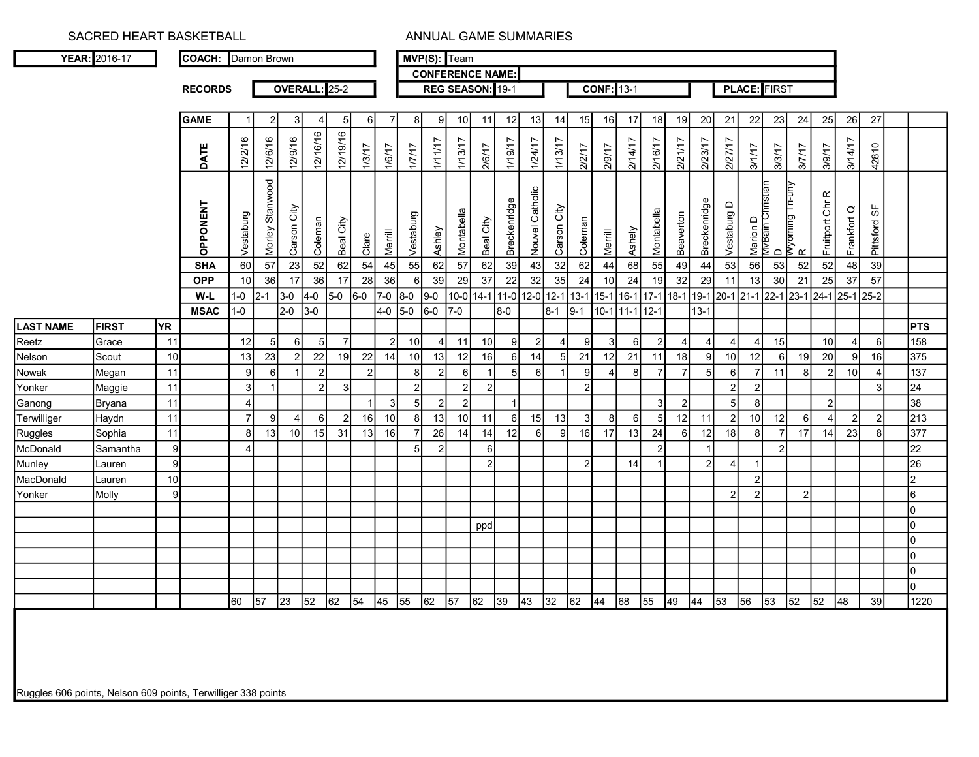RECORDS

## SACRED HEART BASKETBALL AND ANNUAL GAME SUMMARIES

COACH: Damon Brown

MVP(S): Team CONFERENCE NAME:

**OVERALL:** 25-2 REG SEASON: 19-1

CONF: 13-1 | PLACE: FIRST

|                  |              |                | <b>GAME</b>     |           | $\overline{2}$  | 3I              |                | 5               |                 |                 | 8               | 9               | 10             | 11              | 12              | 13              | 14              | 15              | 16             | 17               | 18              | 19             | 20             | 21                       | 22                           | 23        | 24                          | 25                                           | 26              | 27              |                |
|------------------|--------------|----------------|-----------------|-----------|-----------------|-----------------|----------------|-----------------|-----------------|-----------------|-----------------|-----------------|----------------|-----------------|-----------------|-----------------|-----------------|-----------------|----------------|------------------|-----------------|----------------|----------------|--------------------------|------------------------------|-----------|-----------------------------|----------------------------------------------|-----------------|-----------------|----------------|
|                  |              |                | DATE            | 12/2/16   | 12/6/16         | 12/9/16         | 12/16/16       | 12/19/16        |                 |                 |                 | 1/11/7          | 1/13/17        | 2/6/17          | 1/19/17         | 1/24/17         | 1/13/17         |                 | 2/9/17         | 2/14/17          | 2/16/17         | 2/21/17        | 2/23/17        | 2/27/17                  |                              |           |                             |                                              | 3/14/17         |                 |                |
|                  |              |                |                 |           |                 |                 |                |                 | 1/3/17          | 1/6/17          | 1/17            |                 |                |                 |                 |                 |                 | 2/2/17          |                |                  |                 |                |                |                          | 31/17                        | 3/3/17    | <b>1/1/8</b>                | 11/6/8                                       |                 | 42810           |                |
|                  |              |                | <b>OPPONENT</b> | Vestaburg | Morley Stanwood | Carson City     | Coleman        | Beal City       | Clare           | Merrill         | Vestaburg       | Ashley          | Montabella     | Beal City       | Breckenridge    | Nouvel Catholic | Carson City     | Coleman         | Merrill        | Ashely           | Montabella      | Beaverton      | Breckenridge   | Vestaburg D              | Marion D<br>MvBain Christian |           | D<br> Wyoming Tri-uny<br> - | Fruitport Chr R                              | Frankfort Q     | Pittsford SF    |                |
|                  |              |                | <b>SHA</b>      | 60        | $57$            | 23              | 52             | 62              | $\overline{54}$ | 45              | 55              | 62              | 57             | 62              | $\overline{39}$ | 43              | 32              | 62              | 44             | 68               | $\overline{55}$ | 49             | 44             | 53                       | 56                           | 53        | $\overline{52}$             | 52                                           | 48              | $\overline{39}$ |                |
|                  |              |                | <b>OPP</b>      | 10        | 36              | 17              | 36             | $\overline{17}$ | 28              | $\overline{36}$ | $6 \mid$        | 39              | 29             | $\overline{37}$ | $\overline{22}$ | 32              | $\overline{35}$ | 24              | 10             | 24               | 19              | 32             | 29             | 11                       | 13                           | 30        | 21                          | 25                                           | 37              | 57              |                |
|                  |              |                | W-L             | $1-0$     | $2 - 1$         | $3-0$           | $4-0$          | $5-0$           | $6-0$           | $7-0$           | 8-0             | $9-0$           | 10-0           |                 | $14 - 1$ 11-0   | $12-0$          | $12 - 1$ 13-1   |                 | $15-1$         | 16-1 17-1        |                 | $18-1$         |                | 19-1 20-1 21-1 22-1 23-1 |                              |           |                             | $\boxed{24-1}$ $\boxed{25-1}$ $\boxed{25-2}$ |                 |                 |                |
| <b>LAST NAME</b> | <b>FIRST</b> | <b>YR</b>      | <b>MSAC</b>     | $1-0$     |                 | $2-0$           | $3-0$          |                 |                 | $4-0$           | $5-0$           | $6-0$           | $7-0$          |                 | $8-0$           |                 | $8 - 1$         | $9-1$           |                | 10-1 11-1 12-1   |                 |                | $13 - 1$       |                          |                              |           |                             |                                              |                 |                 | <b>PTS</b>     |
| Reetz            | Grace        | 11             |                 | 12        | $5\overline{)}$ | 6               | 5              | $\overline{7}$  |                 | $\overline{2}$  | 10 <sup>1</sup> | 4               | 11             | 10              | 9               | $\overline{2}$  | $\overline{4}$  | $\mathbf{Q}$    | 3              | $6 \overline{6}$ | $\overline{2}$  | 4              |                |                          | 4                            | 15        |                             | 10                                           | $\overline{4}$  | $6 \mid$        | 158            |
| Nelson           | Scout        | 10             |                 | 13        | 23              | $\overline{2}$  | 22             | 19              | 22              | 14              | 10              | 13              | 12             | 16              | 6               | 14              |                 | 21              | 12             | 21               | 11              | 18             | 9              | 10                       | 12                           | 6         | 19                          | 20                                           | 9               | 16              | 375            |
| Nowak            | Megan        | 11             |                 | $\Omega$  | 6               |                 | $\overline{2}$ |                 |                 |                 | 8 <sup>1</sup>  | $\mathfrak{p}$  | $6 \mid$       | $\overline{1}$  | 5               | 6               |                 | $\mathbf{Q}$    |                | 8 <sup>1</sup>   | $\overline{7}$  | $\overline{7}$ |                | $6 \mid$                 | $\overline{7}$               | 11        | 8                           | $\mathcal{P}$                                | 10 <sup>1</sup> |                 | 137            |
| Yonker           | Maggie       | 11             |                 | 3         | $\vert$ 1       |                 | $\overline{2}$ | 3               |                 |                 | $\overline{2}$  |                 | $2 \vert$      | $\overline{2}$  |                 |                 |                 | 2               |                |                  |                 |                |                | $\overline{2}$           | $\overline{2}$               |           |                             |                                              |                 | $\mathcal{R}$   | 24             |
| Ganong           | Bryana       | 11             |                 |           |                 |                 |                |                 |                 | -3              | 5 <sup>1</sup>  | $\overline{2}$  | $\overline{2}$ |                 |                 |                 |                 |                 |                |                  | 3               | $\overline{2}$ |                | 5                        | 8                            |           |                             | $\mathcal{P}$                                |                 |                 | 38             |
| Terwilliger      | Haydn        | 11             |                 |           | -9              |                 | 6              | $\overline{2}$  | 16              | 10              | 8I              | 13              | 10             | 11              | 6               | 15              | 13              | 3               | 8 <sup>1</sup> | $6 \mid$         | 5               | 12             | 11             | 2                        | 10                           | 12        | 6                           |                                              | $\overline{2}$  | $\overline{2}$  | 213            |
| Ruggles          | Sophia       | 11             |                 | 8         | 13              | 10 <sup>1</sup> | 15             | 31              | 13              | 16              | $\overline{7}$  | 26              | 14             | 14              | 12              | 6               | 91              | 16 <sup>1</sup> | 17             | 13               | 24              | 6              | 12             | 18                       | 8 <sup>1</sup>               | 7         | 17                          | 14                                           | 23              | $\mathsf{R}$    | 377            |
| McDonald         | Samantha     | $\overline{9}$ |                 |           |                 |                 |                |                 |                 |                 | 5 <sup>1</sup>  | $\overline{2}$  |                | 6               |                 |                 |                 |                 |                |                  | $\overline{2}$  |                | $\overline{1}$ |                          |                              | $\vert$ 2 |                             |                                              |                 |                 | 22             |
| Munley           | Lauren       | 9              |                 |           |                 |                 |                |                 |                 |                 |                 |                 |                | $\overline{2}$  |                 |                 |                 | $\overline{2}$  |                | 14               |                 |                | 2 <sup>1</sup> | 4                        |                              |           |                             |                                              |                 |                 | 26             |
| MacDonald        | Lauren       | 10             |                 |           |                 |                 |                |                 |                 |                 |                 |                 |                |                 |                 |                 |                 |                 |                |                  |                 |                |                |                          | $\overline{2}$               |           |                             |                                              |                 |                 | 2              |
| Yonker           | Molly        | 9              |                 |           |                 |                 |                |                 |                 |                 |                 |                 |                |                 |                 |                 |                 |                 |                |                  |                 |                |                | $\overline{2}$           | $\overline{2}$               |           | $\overline{2}$              |                                              |                 |                 | 6              |
|                  |              |                |                 |           |                 |                 |                |                 |                 |                 |                 |                 |                |                 |                 |                 |                 |                 |                |                  |                 |                |                |                          |                              |           |                             |                                              |                 |                 | lo.            |
|                  |              |                |                 |           |                 |                 |                |                 |                 |                 |                 |                 |                | ppd             |                 |                 |                 |                 |                |                  |                 |                |                |                          |                              |           |                             |                                              |                 |                 | O              |
|                  |              |                |                 |           |                 |                 |                |                 |                 |                 |                 |                 |                |                 |                 |                 |                 |                 |                |                  |                 |                |                |                          |                              |           |                             |                                              |                 |                 | lo.            |
|                  |              |                |                 |           |                 |                 |                |                 |                 |                 |                 |                 |                |                 |                 |                 |                 |                 |                |                  |                 |                |                |                          |                              |           |                             |                                              |                 |                 | lo.            |
|                  |              |                |                 |           |                 |                 |                |                 |                 |                 |                 |                 |                |                 |                 |                 |                 |                 |                |                  |                 |                |                |                          |                              |           |                             |                                              |                 |                 | 0              |
|                  |              |                |                 |           |                 |                 |                |                 |                 |                 |                 |                 |                |                 |                 |                 |                 |                 |                |                  |                 |                |                |                          |                              |           |                             |                                              |                 |                 | $\overline{0}$ |
|                  |              |                |                 | 60        | 57              | $ 23\rangle$    | 52             | 62              | 54              | 45              | 55              | $\overline{62}$ | 57             | 62              | 39              | 43              | 32              | 62              | 44             | 68               | 55              | 49             | 44             | 53                       | 56                           | 53        | $\sqrt{52}$                 | 52                                           | 48              | 39              | 1220           |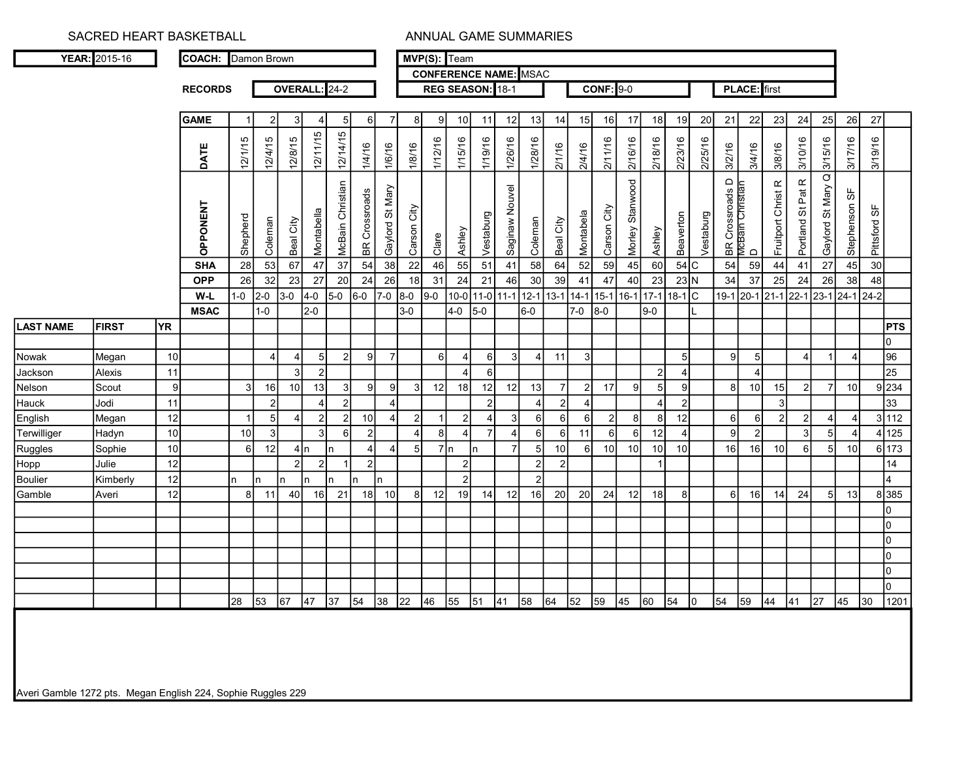|                        | YEAR: 2015-16   |           | <b>COACH:</b> Damon Brown |                |                |                       |            |                         |                 |                       |                 | MVP(S): Team<br><b>CONFERENCE NAME: MSAC</b> |                     |                             |                         |                |                         |                 |                                  |                 |                    |                      |                       |                           |                                     |                     |                     |                   |                   |               |              |                          |
|------------------------|-----------------|-----------|---------------------------|----------------|----------------|-----------------------|------------|-------------------------|-----------------|-----------------------|-----------------|----------------------------------------------|---------------------|-----------------------------|-------------------------|----------------|-------------------------|-----------------|----------------------------------|-----------------|--------------------|----------------------|-----------------------|---------------------------|-------------------------------------|---------------------|---------------------|-------------------|-------------------|---------------|--------------|--------------------------|
|                        |                 |           | <b>RECORDS</b>            |                |                |                       |            | OVERALL: 24-2           |                 |                       |                 |                                              |                     | REG SEASON: 18-1            |                         |                |                         |                 |                                  |                 | <b>CONF: 9-0</b>   |                      |                       |                           |                                     | <b>PLACE:</b> first |                     |                   |                   |               |              |                          |
|                        |                 |           |                           |                |                |                       |            |                         |                 |                       |                 |                                              |                     |                             |                         |                |                         |                 |                                  |                 |                    |                      |                       |                           |                                     |                     |                     |                   |                   |               |              |                          |
|                        |                 |           | <b>GAME</b>               |                | $\mathcal{P}$  |                       |            |                         | $\overline{5}$  |                       | $\overline{7}$  | 8 <sup>1</sup>                               | q                   | 10                          | 11                      | 12             | 13                      | 14              | 15                               | 16              | 17                 | 18                   | 19                    | 20                        | 21                                  | 22                  | 23                  | 24                | 25                | 26            | 27           |                          |
|                        |                 |           |                           |                |                |                       | 12/11/15   | 12/14/15                |                 |                       |                 |                                              |                     |                             |                         |                |                         |                 |                                  |                 |                    |                      |                       |                           |                                     |                     |                     |                   |                   |               |              |                          |
|                        |                 |           | DATE                      | 12/1/15        | 12/4/15        | 12/8/15               |            |                         |                 | 1/6/16<br>1/4/16      | 1/8/16          |                                              | 1/12/16             | 1/15/16                     | 1/19/16                 | 1/26/16        | 1/28/16                 | 211/16          | 2/4/16                           | 2/11/16         | 2/16/16            | 2/18/16              | 2/23/16               | 2/25/16                   | 3/2/16                              | 3/4/16              | 3/8/16              | 3/10/16           | 3/15/16           | 3/17/16       | 3/19/16      |                          |
|                        |                 |           |                           |                |                |                       |            |                         |                 |                       |                 |                                              |                     |                             |                         |                |                         |                 |                                  |                 |                    |                      |                       |                           |                                     |                     |                     |                   |                   |               |              |                          |
|                        |                 |           |                           |                |                |                       |            | <b>McBain Christian</b> |                 | <b>BR</b> Crossroads  | Gaylord St Mary |                                              |                     |                             |                         | Saginaw Nouvel |                         |                 |                                  |                 | Morley Stanwood    |                      |                       |                           | BR Crossroads D<br>McBain Christian |                     | Fruitport Christ R  | Portland St Pat R | Gaylord St Mary Q | Stephenson SF |              |                          |
|                        |                 |           |                           |                |                |                       |            |                         |                 |                       |                 |                                              |                     |                             |                         |                |                         |                 |                                  |                 |                    |                      |                       |                           |                                     |                     |                     |                   |                   |               |              |                          |
|                        |                 |           | <b>OPPONENT</b>           | Shepherd       |                |                       | Montabella |                         |                 |                       |                 | Carson City                                  |                     |                             | Vestaburg               |                |                         |                 | Montabela                        | Carson City     |                    |                      | Beaverton             | /estaburg                 |                                     |                     |                     |                   |                   |               | Pittsford SF |                          |
|                        |                 |           |                           |                | Coleman        | Beal City             |            |                         |                 |                       |                 |                                              | Clare               | Ashley                      |                         |                | Coleman                 | Beal City       |                                  |                 |                    | Ashley               |                       |                           |                                     | $\Box$              |                     |                   |                   |               |              |                          |
|                        |                 |           | <b>SHA</b>                | 28             | 53             | 67                    | 47         | $\overline{37}$         |                 | 54<br>$\overline{38}$ |                 | $\overline{22}$                              | 46                  | 55                          | 51                      | 41             | 58                      | 64              | 52                               | 59              | 45                 | 60                   |                       | $54$ C                    | 54                                  | 59                  | $\bf 44$            | 41                | 27                | 45            | 30           |                          |
|                        |                 |           | <b>OPP</b>                | 26             | 32             | 23                    | 27         | 20                      |                 | 24<br>26              |                 | 18<br>31                                     |                     | 24                          | 21                      | 46             | 30                      | 39              | 41                               | 47              | 40                 | 23                   |                       | $23\overline{\mathrm{N}}$ | 34                                  | 37                  | 25                  | 24                | 26                | 38            | 48           |                          |
|                        |                 |           | W-L                       | $1-0$          | $2-0$          | $3-0$                 | $4-0$      | $5-0$                   | $6-0$           | $7-0$                 | $8-0$           | $9 - 0$                                      |                     | 10-0 11-0 11-1              |                         |                | $12 - 1$                |                 | 13-1 14-1 15-1                   |                 |                    | 16-1 17-1            | $18-1$ C              |                           |                                     |                     | 19-1 20-1 21-1 22-1 |                   | 23-1              | 24-1          | $ 24-2 $     |                          |
| <b>LAST NAME</b>       | <b>FIRST</b>    | <b>YR</b> | <b>MSAC</b>               |                | $1-0$          |                       | $2-0$      |                         |                 |                       | $3-0$           |                                              | $4-0$               | $5-0$                       |                         |                | $6-0$                   |                 | $7-0$                            | $8-0$           |                    | $9-0$                |                       |                           |                                     |                     |                     |                   |                   |               |              | <b>PTS</b>               |
|                        |                 |           |                           |                |                |                       |            |                         |                 |                       |                 |                                              |                     |                             |                         |                |                         |                 |                                  |                 |                    |                      |                       |                           |                                     |                     |                     |                   |                   |               |              | lo.                      |
| Nowak                  | Megan           | 10        |                           |                | $\overline{4}$ | $\boldsymbol{\Delta}$ |            | 5                       | $\overline{2}$  | $\mathbf{Q}$          | $\overline{7}$  |                                              | 6                   | $\overline{4}$              | 6                       | 3              | $\overline{\mathbf{4}}$ | 11              | $\mathbf{3}$                     |                 |                    |                      |                       | 5 <sup>1</sup>            | 9                                   | 5                   |                     | $\overline{4}$    |                   |               |              | $\overline{96}$          |
| Jackson                | Alexis          | 11        |                           |                |                | 3                     |            | $\overline{2}$          |                 |                       |                 |                                              |                     | $\boldsymbol{\Delta}$       | $\,6\,$                 |                |                         |                 |                                  |                 |                    | $\overline{2}$       |                       |                           |                                     |                     |                     |                   |                   |               |              | $\overline{25}$          |
| Nelson                 | Scout           | 9         |                           | $\overline{3}$ | 16             | 10                    | 13         |                         | 3               | $\mathfrak{g}$        | $\mathbf{g}$    | 3                                            | 12                  | 18                          | 12                      | 12             | 13                      | $\overline{7}$  | $2\vert$                         | 17              | 9                  | 5                    |                       | 9I                        | 8                                   | 10                  | 15                  | $\overline{2}$    | $\overline{7}$    | 10            |              | 9 234                    |
| Hauck                  | Jodi            | 11        |                           |                | $\overline{2}$ |                       |            |                         | $\mathfrak{p}$  |                       |                 |                                              |                     |                             | $\overline{2}$          |                | $\overline{4}$          |                 | $\overline{4}$<br>$\overline{2}$ |                 |                    | $\overline{4}$       |                       | $\overline{2}$            |                                     |                     | 3                   |                   |                   |               |              | 33                       |
| English                | Megan           | 12        |                           |                | 5              |                       |            | $\mathcal{P}$           | $\mathcal{P}$   | 10                    |                 | $\overline{2}$                               |                     | $\overline{2}$              | $\overline{\mathbf{4}}$ | З              | $6 \,$                  | 6I              | $6 \mid$                         |                 | 8<br>$\mathcal{P}$ | 8                    | 12                    |                           | 6I                                  | <sup>6</sup>        | $\mathcal{P}$       | 2                 |                   |               |              | 3 112                    |
| Terwilliger            | Hadyn           | 10        |                           | 10             | $\mathbf{3}$   |                       |            | -3                      | $6 \mid$        | $\mathcal{P}$         |                 | $\vert$ 4                                    | 8<br>$\overline{7}$ | $\overline{4}$              | $\overline{7}$          | $\overline{4}$ | $6 \mid$                | - 6 I           | 11                               |                 | 6<br>6             | 12                   | $\boldsymbol{\Delta}$ |                           | 9                                   | $\vert$ 2           |                     | 3                 | 5 <sup>1</sup>    |               |              | 4 125                    |
| Ruggles                | Sophie<br>Julie | 10<br>12  |                           | 6              | 12             | 2                     |            |                         | $\overline{1}$  | $\mathcal{D}$         |                 | 5 <sup>1</sup>                               | In                  |                             |                         | $\overline{7}$ | $5\overline{)}$<br>2    | 10 <sup>1</sup> | 6 <sup>1</sup>                   | 10 <sup>1</sup> | 10                 | 10<br>$\overline{1}$ | 10                    |                           | 16                                  | 16                  | 10                  | 6                 |                   | 10            |              | 6 173<br>$\overline{14}$ |
| Hopp<br><b>Boulier</b> | Kimberly        | 12        |                           | n              | ln.            | In                    |            | $\overline{2}$          | In.             |                       |                 |                                              |                     | $2 \vert$<br>$\overline{2}$ |                         |                | $\overline{2}$          | $\overline{2}$  |                                  |                 |                    |                      |                       |                           |                                     |                     |                     |                   |                   |               |              | 4                        |
| Gamble                 | Averi           | 12        |                           | 8 <sup>1</sup> | 11             | 40                    | 16         | 21                      |                 | 18                    | 10              | 8                                            | 12                  | 19                          | 14                      | 12             | 16                      | 20              | 20                               | 24              | 12                 | 18                   |                       | 8I                        | 6                                   | 16                  | 14                  | 24                | .5I               | 13            |              | 8 385                    |
|                        |                 |           |                           |                |                |                       |            |                         |                 |                       |                 |                                              |                     |                             |                         |                |                         |                 |                                  |                 |                    |                      |                       |                           |                                     |                     |                     |                   |                   |               |              | lo.                      |
|                        |                 |           |                           |                |                |                       |            |                         |                 |                       |                 |                                              |                     |                             |                         |                |                         |                 |                                  |                 |                    |                      |                       |                           |                                     |                     |                     |                   |                   |               |              | $\overline{0}$           |
|                        |                 |           |                           |                |                |                       |            |                         |                 |                       |                 |                                              |                     |                             |                         |                |                         |                 |                                  |                 |                    |                      |                       |                           |                                     |                     |                     |                   |                   |               |              | $\overline{0}$           |
|                        |                 |           |                           |                |                |                       |            |                         |                 |                       |                 |                                              |                     |                             |                         |                |                         |                 |                                  |                 |                    |                      |                       |                           |                                     |                     |                     |                   |                   |               |              | O                        |
|                        |                 |           |                           |                |                |                       |            |                         |                 |                       |                 |                                              |                     |                             |                         |                |                         |                 |                                  |                 |                    |                      |                       |                           |                                     |                     |                     |                   |                   |               |              | $\overline{0}$           |
|                        |                 |           |                           | 28             | 53             | 67                    | 47         | 37                      | $\overline{54}$ | 38                    | 22              | 46                                           | 55                  | 51                          | 41                      |                | 58                      | 64              | 52                               | 59              | 45                 | 60                   | 54                    | lo.                       | 54                                  | 59                  | 44                  | 41                | $\overline{27}$   | 45            | 30           | $\overline{0}$<br>1201   |
|                        |                 |           |                           |                |                |                       |            |                         |                 |                       |                 |                                              |                     |                             |                         |                |                         |                 |                                  |                 |                    |                      |                       |                           |                                     |                     |                     |                   |                   |               |              |                          |

Averi Gamble 1272 pts. Megan English 224, Sophie Ruggles 229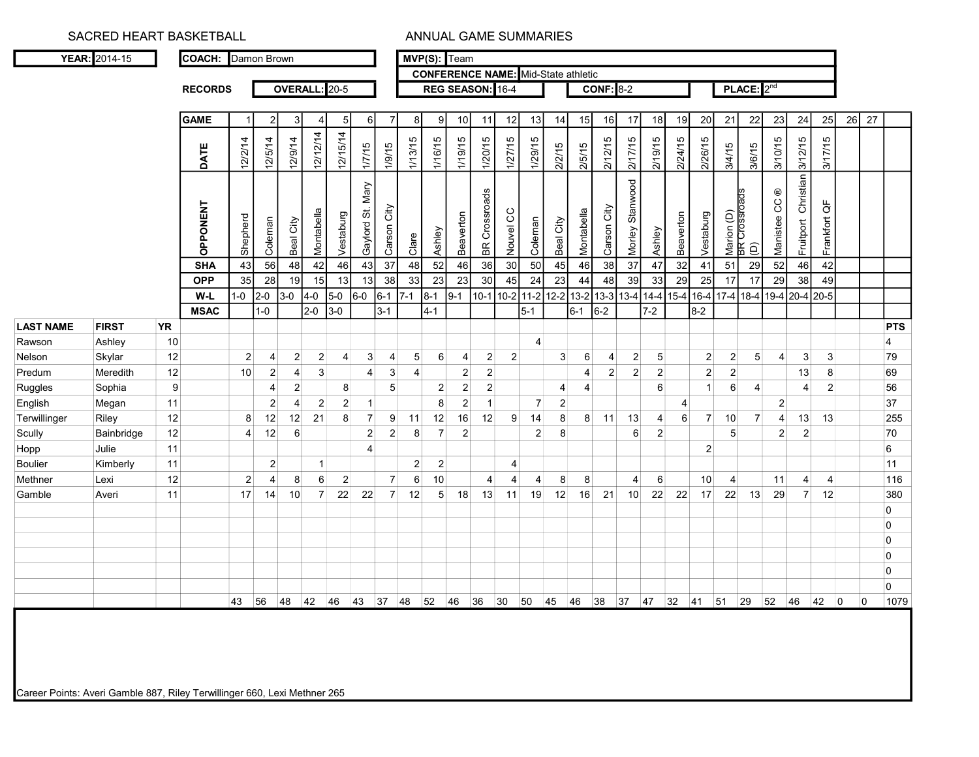|                  |              |           | <b>RECORDS</b>  |                |                |                         | OVERALL: 20-5  |                |                  |                |                |                | REG SEASON: 16-4 |                         |                |                |                |                | <b>CONF: 8-2</b> |                    |                |                |                      |                             | PLACE:2 <sup>nd</sup> |                          |                        |                   |    |                |            |
|------------------|--------------|-----------|-----------------|----------------|----------------|-------------------------|----------------|----------------|------------------|----------------|----------------|----------------|------------------|-------------------------|----------------|----------------|----------------|----------------|------------------|--------------------|----------------|----------------|----------------------|-----------------------------|-----------------------|--------------------------|------------------------|-------------------|----|----------------|------------|
|                  |              |           |                 |                |                |                         |                |                |                  |                |                |                |                  |                         |                |                |                |                |                  |                    |                |                |                      |                             |                       |                          |                        |                   |    |                |            |
|                  |              |           | <b>GAME</b>     |                | $\overline{2}$ | 3                       | 4              | 5              | 6                | -7             | 8 <sup>1</sup> | q              | 10 <sub>1</sub>  | 11                      | 12             | 13             | 14             | 15             | 16               | 17                 | 18             | 19             | 20                   | 21                          | 22                    | 23                       | 24                     | 25                | 26 | 27             |            |
|                  |              |           |                 |                |                |                         |                |                |                  |                |                |                |                  |                         |                |                |                |                |                  |                    |                |                |                      |                             |                       |                          |                        |                   |    |                |            |
|                  |              |           | DATE            | 12/2/14        | 12/5/14        | 12/9/14                 | 12/12/14       | 12/15/14       | 1/7/15           | 1/9/15         | 1/13/15        | 1/16/15        | 1/19/15          | 1/20/15                 | 1/27/15        | 1/29/15        | 2/2/15         | 2/5/15         | 212/15           | 217/15             | 2/19/15        | 2/24/15        | 2/26/15              | 3/4/15                      | 3/6/15                | 3/10/15                  | 3/12/15                | 3/17/15           |    |                |            |
|                  |              |           | <b>OPPONENT</b> | Shepherd       | Coleman        | Beal City               | Montabella     | Vestaburg      | Gaylord St. Mary | City<br>Carson | Clare          | Ashley         | Beaverton        | <b>BR</b> Crossroads    | Nouvel CC      | Coleman        | Beal City      | Montabella     | Carson City      | Stanwood<br>Morley | Ashley         | Beaverton      | Vestaburg            | Marion (D)<br>BR Crossroads | $\widehat{\Theta}$    | Manistee CC <sup>®</sup> | Christian<br>Fruitport | Frankfort QF      |    |                |            |
|                  |              |           | <b>SHA</b>      | 43             | 56             | 48                      | 42             | 46             | 43               | 37             | 48             | 52             | 46               | 36                      | 30             | 50             | 45             | 46             | 38               | $37\,$             | 47             | 32             | 41                   | 51                          | 29                    | 52                       | 46                     | 42                |    |                |            |
|                  |              |           | <b>OPP</b>      | 35             | 28             | 19                      | 15             | 13             | 13               | 38             | 33             | 23             | 23               | 30                      | 45             | 24             | 23             | 44             | 48               | 39                 | 33             | 29             | 25                   | 17                          | 17                    | 29                       | 38                     | 49                |    |                |            |
|                  |              |           | W-L             | $1 - 0$        | $2-0$          | $3-0$                   | $4-0$          | $5-0$          | $6-0$            | 6-1            | $17-1$         | $8-1$          | $9 - 1$          | $10-1$                  | $10-2$         |                | 11-2 12-2 13-2 |                | 13-3 13-4 14-4   |                    |                | $15 - 4$       | $16-4$               | $17-4$ 18-4                 |                       | 19-4 20-4 20-5           |                        |                   |    |                |            |
|                  |              |           | <b>MSAC</b>     |                | $1-0$          |                         | 2-0            | $3-0$          |                  | $3 - 1$        |                | $4 - 1$        |                  |                         |                | $5-1$          |                | $6 - 1$        | $6-2$            |                    | $7 - 2$        |                | $8 - 2$              |                             |                       |                          |                        |                   |    |                |            |
| <b>LAST NAME</b> | <b>FIRST</b> | <b>YR</b> |                 |                |                |                         |                |                |                  |                |                |                |                  |                         |                |                |                |                |                  |                    |                |                |                      |                             |                       |                          |                        |                   |    |                | <b>PTS</b> |
| Rawson           | Ashley       | 10        |                 |                |                |                         |                |                |                  |                |                |                |                  |                         |                | $\overline{4}$ |                |                |                  |                    |                |                |                      |                             |                       |                          |                        |                   |    | $\overline{4}$ |            |
| Nelson           | Skylar       | 12        |                 | $\mathbf{2}$   | $\overline{4}$ | $\mathbf{2}$            | $\mathbf{2}$   | $\overline{4}$ | 3                | $\overline{4}$ | 5              | 6              | $\overline{4}$   | $\vert$ 2               | 2              |                | 3 <sup>1</sup> | $\,6\,$        | 4                | $\overline{c}$     | 5 <sup>5</sup> |                | $\overline{2}$       | $\mathbf{2}$                | 5                     |                          | $\lvert 3 \rvert$      | 3                 |    |                | 79         |
| Predum           | Meredith     | 12        |                 | 10             | $\mathbf{2}$   | 4                       | 3              |                | $\overline{4}$   | $\mathbf{3}$   | $\overline{4}$ |                | $\overline{2}$   | $\overline{2}$          |                |                |                | $\overline{4}$ | 2 <sup>1</sup>   | $\overline{c}$     | $\overline{2}$ |                | $\overline{2}$       | $\mathbf{2}$                |                       |                          | 13                     | 8                 |    |                | 69         |
| Ruggles          | Sophia       | 9         |                 |                | 4              | $\overline{\mathbf{c}}$ |                | 8              |                  | 5              |                | $\vert$ 2      | $\mathbf{2}$     | $\sqrt{2}$              |                |                | 4              | $\overline{4}$ |                  |                    | 6              |                | 1                    | $6 \mid$                    | $\vert$ 4             |                          | 4                      | $\overline{2}$    |    |                | 56         |
| English          | Megan        | 11        |                 |                | $\overline{c}$ | 4                       | $\mathbf{2}$   | $\overline{2}$ |                  |                |                | 8              | $\overline{c}$   | $\overline{\mathbf{1}}$ |                | $\overline{7}$ | $\mathbf{2}$   |                |                  |                    |                | 4              |                      |                             |                       | $\vert$ 2                |                        |                   |    |                | 37         |
| Terwillinger     | Riley        | 12        |                 | 8              | 12             | 12                      | 21             | 8              | $\overline{7}$   | 9              | 11             | 12             | 16               | 12                      | $9^{\circ}$    | 14             | 8 <sup>°</sup> | 8              | 11               | 13                 | $\overline{4}$ | 6 <sup>1</sup> | $\overline{7}$       | 10                          | $\overline{7}$        | $\vert$                  | 13                     | 13                |    |                | 255        |
| Scully           | Bainbridge   | 12        |                 | $\overline{4}$ | 12             | 6                       |                |                | $\overline{2}$   | $\mathbf{2}$   | 8              | $\overline{7}$ | $\overline{2}$   |                         |                | $\overline{2}$ | 8              |                |                  | 6                  | $\overline{2}$ |                |                      | 5 <sup>5</sup>              |                       | $\overline{2}$           | $\overline{2}$         |                   |    |                | 70         |
| Hopp             | Julie        | 11        |                 |                |                |                         |                |                | 4                |                |                |                |                  |                         |                |                |                |                |                  |                    |                |                | $\mathbf{2}$         |                             |                       |                          |                        |                   |    | 6              |            |
| <b>Boulier</b>   | Kimberly     | 11        |                 |                | $\overline{c}$ |                         |                |                |                  |                | $\vert$ 2      | $\overline{2}$ |                  |                         | $\overline{4}$ |                |                |                |                  |                    |                |                |                      |                             |                       |                          |                        |                   |    |                | 11         |
| Methner          | Lexi         | 12        |                 | $\overline{2}$ | $\overline{4}$ | 8                       | $6 \mid$       | $\overline{2}$ |                  | $\overline{7}$ | 6              | 10             |                  | $\overline{4}$          | $\vert$        | $\overline{4}$ | 8 <sup>°</sup> | 8              |                  | 4                  | 6              |                | 10                   | $\overline{4}$              |                       | 11                       | $\overline{4}$         | $\overline{4}$    |    |                | 116        |
| Gamble           | Averi        | 11        |                 | 17             | 14             | 10                      | $\overline{7}$ | 22             | 22               | $\overline{7}$ | 12             | 5 <sup>1</sup> | 18               | 13                      | 11             | 19             | 12             | 16             | 21               | 10                 | 22             | 22             | 17                   | 22                          | 13                    | 29                       | $\overline{7}$         | 12                |    |                | 380        |
|                  |              |           |                 |                |                |                         |                |                |                  |                |                |                |                  |                         |                |                |                |                |                  |                    |                |                |                      |                             |                       |                          |                        |                   |    |                | 0          |
|                  |              |           |                 |                |                |                         |                |                |                  |                |                |                |                  |                         |                |                |                |                |                  |                    |                |                |                      |                             |                       |                          |                        |                   |    | 0              |            |
|                  |              |           |                 |                |                |                         |                |                |                  |                |                |                |                  |                         |                |                |                |                |                  |                    |                |                |                      |                             |                       |                          |                        |                   |    | $\overline{0}$ |            |
|                  |              |           |                 |                |                |                         |                |                |                  |                |                |                |                  |                         |                |                |                |                |                  |                    |                |                |                      |                             |                       |                          |                        |                   |    | 0              |            |
|                  |              |           |                 |                |                |                         |                |                |                  |                |                |                |                  |                         |                |                |                |                |                  |                    |                |                |                      |                             |                       |                          |                        |                   |    | 0              |            |
|                  |              |           |                 |                |                |                         |                |                |                  |                |                |                |                  |                         |                |                |                |                |                  |                    |                |                |                      |                             |                       |                          |                        |                   |    | 0              |            |
|                  |              |           |                 | 43             | 56             | 48                      | 42 46          |                | 43               | 37 48          |                | 52             | 46               | 36                      | 30             |                | 50 45 46       |                |                  |                    |                |                | 38 37 47 32 41 51 29 |                             |                       | 52                       | 46                     | 42<br>$ 0\rangle$ |    | $ 0\rangle$    | 1079       |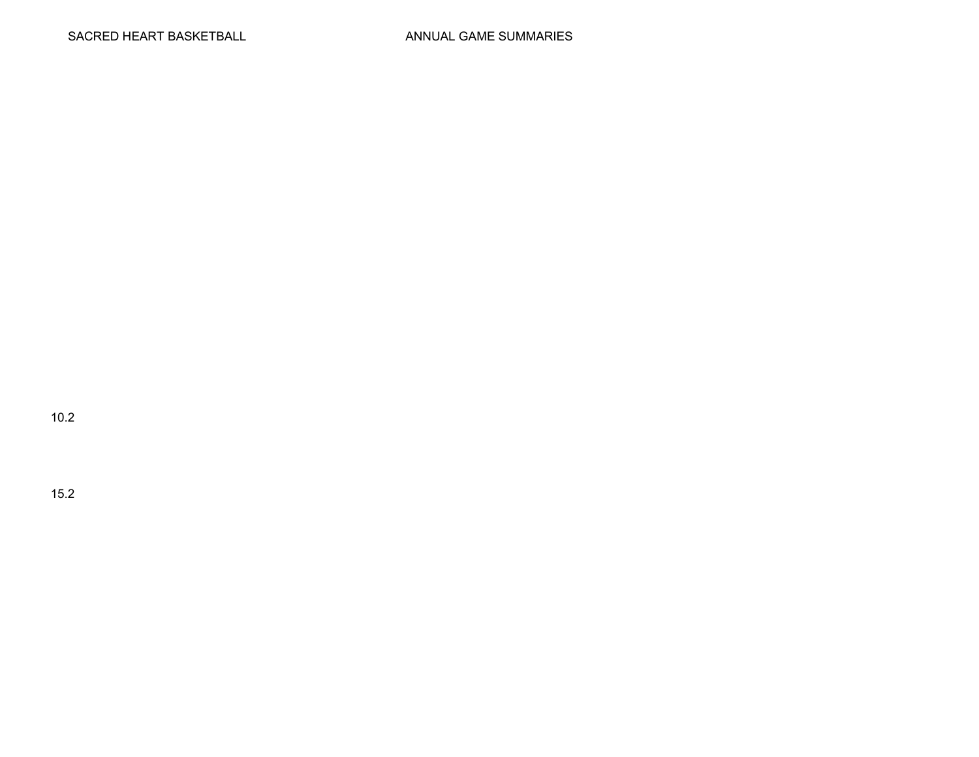10.2

15.2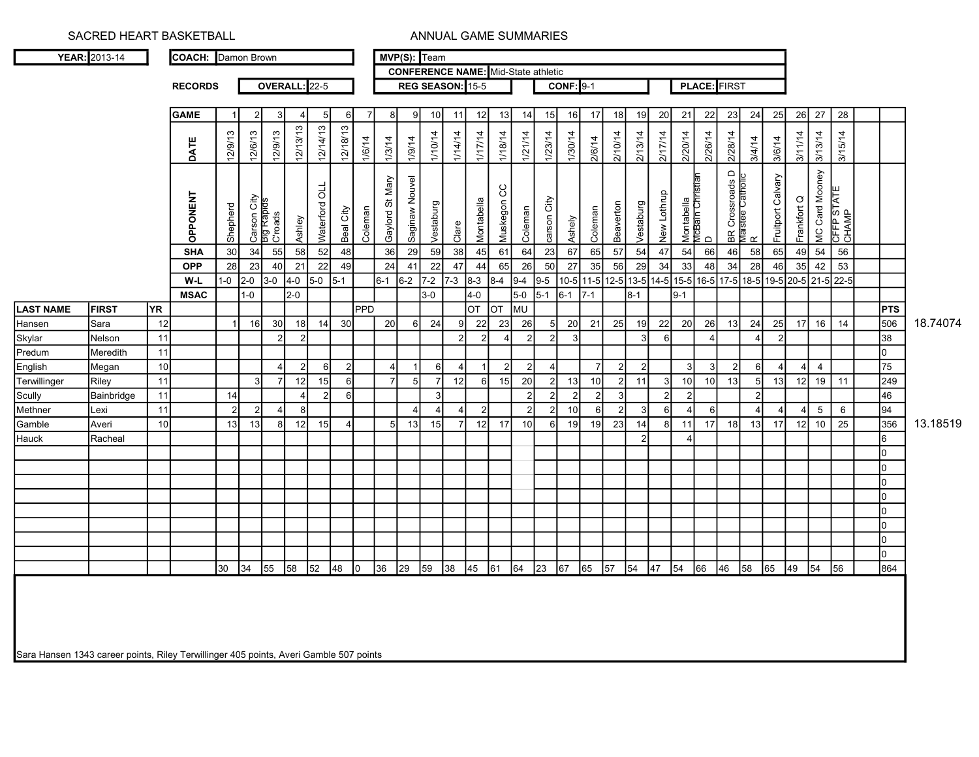YEAR: 2013-14 COACH: Damon Brown

MVP(S): Team CONFERENCE NAME: Mid-State athletic

RECORDS

OVERALL: 22-5 REG SEASON: 15-5

CONF: 9-1 | PLACE: FIRST

| 12/14/13<br>12/18/13<br>12/13/13<br>3/13/14<br>3/15/14<br>12/9/13<br>12/9/13<br>1/10/14<br>1/18/14<br>1/30/14<br>2/10/14<br>2/13/14<br>3/11/14<br>12/6/13<br>1/14/14<br>1/17/14<br>1/21/14<br>1/23/14<br>2/17/14<br>2/20/14<br>2/26/14<br>2/28/14<br>3/4/14<br>1/6/14<br>1/3/14<br>1/9/14<br>2/6/14<br>DATE<br>3/6/14<br>MC Card Mooney<br> BR Crossroads D<br> Maistee Catholic<br> R<br>Fruitport Calvary<br><u>ueinsi.</u><br>Saginaw Nouvel<br>Gaylord St Mary<br>Waterford OLL<br>Muskegon CC<br>CFFP STATE<br>CHAMP<br><b>OPPONENT</b><br>New Lothrup<br>Frankfort Q<br>Carson City<br>Big Rapids<br>C'roads<br>Montabella<br>MCBain Chri<br>carson City<br>Montabella<br>Vestaburg<br>Vestaburg<br>Beaverton<br>Shepherd<br>Coleman<br>Coleman<br>Coleman<br>Beal City<br>Ashely<br>Ashley<br>Clare<br>$\mathrel{\mathsf{d}}$<br>$\overline{64}$<br>$\overline{56}$<br>55<br>30<br>34<br>52<br>36<br>29<br>59<br>38<br>45<br>61<br>23<br>67<br>57<br>54<br>46<br>58<br>54<br><b>SHA</b><br>58<br>65<br>54<br>66<br>65<br>49<br>48<br>47<br>53<br>$\overline{23}$<br>50<br>$28$<br>$\overline{35}$<br>$42$<br>28<br>22<br>24<br>$\overline{22}$<br>65<br>26<br>$27$<br>56<br>29<br>34<br>33<br>$\overline{34}$<br>40<br>21<br>49<br>47<br>44<br>35<br><b>OPP</b><br>46<br>41<br>48<br>$1 - 0$<br>$9-4$<br>$9 - 5$<br>10-5 11-5 12-5 13-5 14-5 15-5 16-5 17-5 18-5 19-5 20-5 21-5 22-5<br>$\overline{2-0}$<br>$4-0$<br>$5-0$<br>$6-2$<br>$7 - 2$ 7-3<br>$3-0$<br>$5-1$<br>$8 - 3$<br>$8-4$<br>$6-1$<br>W-L<br>$\overline{5-1}$<br>$\overline{2-0}$<br>$4-0$<br>$5-0$<br>$1-0$<br>$3-0$<br>$6-1$<br>$9 - 1$<br>$7-1$<br>$8-1$<br><b>MSAC</b><br>$\overline{\text{OT}}$<br>MU<br>PPD<br>OT<br><b>PTS</b><br><b>FIRST</b><br>YR)<br>506<br>$\overline{26}$<br>22<br>23<br>12<br>16<br>20<br>20<br>21<br>25<br>19<br>22<br>20<br>26<br>$24\,$<br>25<br>16<br>Sara<br>$30\,$<br>18<br>14<br>30<br>24<br>13<br>17<br>14<br>6<br>9<br>11<br>38<br>Nelson<br>$\overline{2}$<br>$\overline{2}$<br>$\overline{2}$<br>$\overline{3}$<br>6<br>$\overline{2}$<br>$\overline{3}$<br>$\mathcal{P}$<br>$\boldsymbol{\Delta}$<br>11<br>$\overline{0}$<br>Meredith<br>75<br>$10$<br>2 <sup>1</sup><br>$\overline{2}$<br>$\overline{4}$<br>Megan<br>$\vert$ 2<br>4 <sup>1</sup><br>$\overline{2}$<br>$\overline{2}$<br>$6 \mid$<br>6<br>6<br>$\mathcal{P}$<br>$\mathcal{P}$<br>3<br>3<br>249<br>19<br>5 <sup>1</sup><br>20<br>Riley<br>11<br>12<br>15<br>7 <sup>1</sup><br>15<br>13<br>$\overline{2}$<br>11<br>10<br>13<br>12<br>12<br>6<br>10<br>5<br>13<br>11<br>6<br>$\overline{7}$<br>10<br>46<br>$11$<br>$\overline{2}$<br>2<br>2<br>Bainbridge<br>14<br>$\overline{2}$<br>6<br>$\overline{2}$<br>3<br>$\overline{2}$<br>94<br>11<br>8<br>$\overline{2}$<br>10 <sup>1</sup><br>3<br>$6 \mid$<br>$5\phantom{.0}$<br>$\,6\,$<br>Lexi<br>$\overline{2}$<br>$\mathcal{P}$<br>6<br>$\overline{4}$<br>6<br>4<br>$\boldsymbol{\Delta}$<br>356<br>25<br>12<br>12<br>17<br>23<br>14<br>13<br>10<br>10<br>13<br>13<br>15<br>5 <sup>1</sup><br>13<br>15<br>19<br>8<br>11<br>18<br>$\overline{7}$<br>10<br>17<br>17<br>12<br>Averi<br>8<br>Racheal<br>2<br>$\Lambda$<br>6<br>0<br>0<br>0<br>l0<br>lo.<br>$\overline{0}$<br>lo. |  | GAME | $\overline{2}$ | $\mathcal{E}$ | 4 | 5 | $\overline{7}$<br>$6 \mid$ | 8 | 9 | 10 | 11 | 12 | 13 | 14 | 15 | 16 | 17 | 18 | 19 | 20 | 21 | 22 | 23 | 24 | 25 | 26 27 | 28 |                |          |
|-----------------------------------------------------------------------------------------------------------------------------------------------------------------------------------------------------------------------------------------------------------------------------------------------------------------------------------------------------------------------------------------------------------------------------------------------------------------------------------------------------------------------------------------------------------------------------------------------------------------------------------------------------------------------------------------------------------------------------------------------------------------------------------------------------------------------------------------------------------------------------------------------------------------------------------------------------------------------------------------------------------------------------------------------------------------------------------------------------------------------------------------------------------------------------------------------------------------------------------------------------------------------------------------------------------------------------------------------------------------------------------------------------------------------------------------------------------------------------------------------------------------------------------------------------------------------------------------------------------------------------------------------------------------------------------------------------------------------------------------------------------------------------------------------------------------------------------------------------------------------------------------------------------------------------------------------------------------------------------------------------------------------------------------------------------------------------------------------------------------------------------------------------------------------------------------------------------------------------------------------------------------------------------------------------------------------------------------------------------------------------------------------------------------------------------------------------------------------------------------------------------------------------------------------------------------------------------------------------------------------------------------------------------------------------------------------------------------------------------------------------------------------------------------------------------------------------------------------------------------------------------------------------------------------------------------------------------------------------------------------------------------------------------------------------------------------------------------------------------------------------------------------------------------------------------------------------------|--|------|----------------|---------------|---|---|----------------------------|---|---|----|----|----|----|----|----|----|----|----|----|----|----|----|----|----|----|-------|----|----------------|----------|
| Terwillinger<br>Gamble                                                                                                                                                                                                                                                                                                                                                                                                                                                                                                                                                                                                                                                                                                                                                                                                                                                                                                                                                                                                                                                                                                                                                                                                                                                                                                                                                                                                                                                                                                                                                                                                                                                                                                                                                                                                                                                                                                                                                                                                                                                                                                                                                                                                                                                                                                                                                                                                                                                                                                                                                                                                                                                                                                                                                                                                                                                                                                                                                                                                                                                                                                                                                                                    |  |      |                |               |   |   |                            |   |   |    |    |    |    |    |    |    |    |    |    |    |    |    |    |    |    |       |    |                |          |
| LAST NAME<br>Hansen<br>Skylar<br>Predum<br>English<br>Scully<br>Methner<br>Hauck                                                                                                                                                                                                                                                                                                                                                                                                                                                                                                                                                                                                                                                                                                                                                                                                                                                                                                                                                                                                                                                                                                                                                                                                                                                                                                                                                                                                                                                                                                                                                                                                                                                                                                                                                                                                                                                                                                                                                                                                                                                                                                                                                                                                                                                                                                                                                                                                                                                                                                                                                                                                                                                                                                                                                                                                                                                                                                                                                                                                                                                                                                                          |  |      |                |               |   |   |                            |   |   |    |    |    |    |    |    |    |    |    |    |    |    |    |    |    |    |       |    |                |          |
|                                                                                                                                                                                                                                                                                                                                                                                                                                                                                                                                                                                                                                                                                                                                                                                                                                                                                                                                                                                                                                                                                                                                                                                                                                                                                                                                                                                                                                                                                                                                                                                                                                                                                                                                                                                                                                                                                                                                                                                                                                                                                                                                                                                                                                                                                                                                                                                                                                                                                                                                                                                                                                                                                                                                                                                                                                                                                                                                                                                                                                                                                                                                                                                                           |  |      |                |               |   |   |                            |   |   |    |    |    |    |    |    |    |    |    |    |    |    |    |    |    |    |       |    |                |          |
|                                                                                                                                                                                                                                                                                                                                                                                                                                                                                                                                                                                                                                                                                                                                                                                                                                                                                                                                                                                                                                                                                                                                                                                                                                                                                                                                                                                                                                                                                                                                                                                                                                                                                                                                                                                                                                                                                                                                                                                                                                                                                                                                                                                                                                                                                                                                                                                                                                                                                                                                                                                                                                                                                                                                                                                                                                                                                                                                                                                                                                                                                                                                                                                                           |  |      |                |               |   |   |                            |   |   |    |    |    |    |    |    |    |    |    |    |    |    |    |    |    |    |       |    |                |          |
|                                                                                                                                                                                                                                                                                                                                                                                                                                                                                                                                                                                                                                                                                                                                                                                                                                                                                                                                                                                                                                                                                                                                                                                                                                                                                                                                                                                                                                                                                                                                                                                                                                                                                                                                                                                                                                                                                                                                                                                                                                                                                                                                                                                                                                                                                                                                                                                                                                                                                                                                                                                                                                                                                                                                                                                                                                                                                                                                                                                                                                                                                                                                                                                                           |  |      |                |               |   |   |                            |   |   |    |    |    |    |    |    |    |    |    |    |    |    |    |    |    |    |       |    |                |          |
|                                                                                                                                                                                                                                                                                                                                                                                                                                                                                                                                                                                                                                                                                                                                                                                                                                                                                                                                                                                                                                                                                                                                                                                                                                                                                                                                                                                                                                                                                                                                                                                                                                                                                                                                                                                                                                                                                                                                                                                                                                                                                                                                                                                                                                                                                                                                                                                                                                                                                                                                                                                                                                                                                                                                                                                                                                                                                                                                                                                                                                                                                                                                                                                                           |  |      |                |               |   |   |                            |   |   |    |    |    |    |    |    |    |    |    |    |    |    |    |    |    |    |       |    |                |          |
|                                                                                                                                                                                                                                                                                                                                                                                                                                                                                                                                                                                                                                                                                                                                                                                                                                                                                                                                                                                                                                                                                                                                                                                                                                                                                                                                                                                                                                                                                                                                                                                                                                                                                                                                                                                                                                                                                                                                                                                                                                                                                                                                                                                                                                                                                                                                                                                                                                                                                                                                                                                                                                                                                                                                                                                                                                                                                                                                                                                                                                                                                                                                                                                                           |  |      |                |               |   |   |                            |   |   |    |    |    |    |    |    |    |    |    |    |    |    |    |    |    |    |       |    |                |          |
|                                                                                                                                                                                                                                                                                                                                                                                                                                                                                                                                                                                                                                                                                                                                                                                                                                                                                                                                                                                                                                                                                                                                                                                                                                                                                                                                                                                                                                                                                                                                                                                                                                                                                                                                                                                                                                                                                                                                                                                                                                                                                                                                                                                                                                                                                                                                                                                                                                                                                                                                                                                                                                                                                                                                                                                                                                                                                                                                                                                                                                                                                                                                                                                                           |  |      |                |               |   |   |                            |   |   |    |    |    |    |    |    |    |    |    |    |    |    |    |    |    |    |       |    |                | 18.74074 |
|                                                                                                                                                                                                                                                                                                                                                                                                                                                                                                                                                                                                                                                                                                                                                                                                                                                                                                                                                                                                                                                                                                                                                                                                                                                                                                                                                                                                                                                                                                                                                                                                                                                                                                                                                                                                                                                                                                                                                                                                                                                                                                                                                                                                                                                                                                                                                                                                                                                                                                                                                                                                                                                                                                                                                                                                                                                                                                                                                                                                                                                                                                                                                                                                           |  |      |                |               |   |   |                            |   |   |    |    |    |    |    |    |    |    |    |    |    |    |    |    |    |    |       |    |                |          |
|                                                                                                                                                                                                                                                                                                                                                                                                                                                                                                                                                                                                                                                                                                                                                                                                                                                                                                                                                                                                                                                                                                                                                                                                                                                                                                                                                                                                                                                                                                                                                                                                                                                                                                                                                                                                                                                                                                                                                                                                                                                                                                                                                                                                                                                                                                                                                                                                                                                                                                                                                                                                                                                                                                                                                                                                                                                                                                                                                                                                                                                                                                                                                                                                           |  |      |                |               |   |   |                            |   |   |    |    |    |    |    |    |    |    |    |    |    |    |    |    |    |    |       |    |                |          |
|                                                                                                                                                                                                                                                                                                                                                                                                                                                                                                                                                                                                                                                                                                                                                                                                                                                                                                                                                                                                                                                                                                                                                                                                                                                                                                                                                                                                                                                                                                                                                                                                                                                                                                                                                                                                                                                                                                                                                                                                                                                                                                                                                                                                                                                                                                                                                                                                                                                                                                                                                                                                                                                                                                                                                                                                                                                                                                                                                                                                                                                                                                                                                                                                           |  |      |                |               |   |   |                            |   |   |    |    |    |    |    |    |    |    |    |    |    |    |    |    |    |    |       |    |                |          |
|                                                                                                                                                                                                                                                                                                                                                                                                                                                                                                                                                                                                                                                                                                                                                                                                                                                                                                                                                                                                                                                                                                                                                                                                                                                                                                                                                                                                                                                                                                                                                                                                                                                                                                                                                                                                                                                                                                                                                                                                                                                                                                                                                                                                                                                                                                                                                                                                                                                                                                                                                                                                                                                                                                                                                                                                                                                                                                                                                                                                                                                                                                                                                                                                           |  |      |                |               |   |   |                            |   |   |    |    |    |    |    |    |    |    |    |    |    |    |    |    |    |    |       |    |                |          |
|                                                                                                                                                                                                                                                                                                                                                                                                                                                                                                                                                                                                                                                                                                                                                                                                                                                                                                                                                                                                                                                                                                                                                                                                                                                                                                                                                                                                                                                                                                                                                                                                                                                                                                                                                                                                                                                                                                                                                                                                                                                                                                                                                                                                                                                                                                                                                                                                                                                                                                                                                                                                                                                                                                                                                                                                                                                                                                                                                                                                                                                                                                                                                                                                           |  |      |                |               |   |   |                            |   |   |    |    |    |    |    |    |    |    |    |    |    |    |    |    |    |    |       |    |                |          |
|                                                                                                                                                                                                                                                                                                                                                                                                                                                                                                                                                                                                                                                                                                                                                                                                                                                                                                                                                                                                                                                                                                                                                                                                                                                                                                                                                                                                                                                                                                                                                                                                                                                                                                                                                                                                                                                                                                                                                                                                                                                                                                                                                                                                                                                                                                                                                                                                                                                                                                                                                                                                                                                                                                                                                                                                                                                                                                                                                                                                                                                                                                                                                                                                           |  |      |                |               |   |   |                            |   |   |    |    |    |    |    |    |    |    |    |    |    |    |    |    |    |    |       |    |                |          |
|                                                                                                                                                                                                                                                                                                                                                                                                                                                                                                                                                                                                                                                                                                                                                                                                                                                                                                                                                                                                                                                                                                                                                                                                                                                                                                                                                                                                                                                                                                                                                                                                                                                                                                                                                                                                                                                                                                                                                                                                                                                                                                                                                                                                                                                                                                                                                                                                                                                                                                                                                                                                                                                                                                                                                                                                                                                                                                                                                                                                                                                                                                                                                                                                           |  |      |                |               |   |   |                            |   |   |    |    |    |    |    |    |    |    |    |    |    |    |    |    |    |    |       |    |                | 13.18519 |
|                                                                                                                                                                                                                                                                                                                                                                                                                                                                                                                                                                                                                                                                                                                                                                                                                                                                                                                                                                                                                                                                                                                                                                                                                                                                                                                                                                                                                                                                                                                                                                                                                                                                                                                                                                                                                                                                                                                                                                                                                                                                                                                                                                                                                                                                                                                                                                                                                                                                                                                                                                                                                                                                                                                                                                                                                                                                                                                                                                                                                                                                                                                                                                                                           |  |      |                |               |   |   |                            |   |   |    |    |    |    |    |    |    |    |    |    |    |    |    |    |    |    |       |    |                |          |
|                                                                                                                                                                                                                                                                                                                                                                                                                                                                                                                                                                                                                                                                                                                                                                                                                                                                                                                                                                                                                                                                                                                                                                                                                                                                                                                                                                                                                                                                                                                                                                                                                                                                                                                                                                                                                                                                                                                                                                                                                                                                                                                                                                                                                                                                                                                                                                                                                                                                                                                                                                                                                                                                                                                                                                                                                                                                                                                                                                                                                                                                                                                                                                                                           |  |      |                |               |   |   |                            |   |   |    |    |    |    |    |    |    |    |    |    |    |    |    |    |    |    |       |    |                |          |
|                                                                                                                                                                                                                                                                                                                                                                                                                                                                                                                                                                                                                                                                                                                                                                                                                                                                                                                                                                                                                                                                                                                                                                                                                                                                                                                                                                                                                                                                                                                                                                                                                                                                                                                                                                                                                                                                                                                                                                                                                                                                                                                                                                                                                                                                                                                                                                                                                                                                                                                                                                                                                                                                                                                                                                                                                                                                                                                                                                                                                                                                                                                                                                                                           |  |      |                |               |   |   |                            |   |   |    |    |    |    |    |    |    |    |    |    |    |    |    |    |    |    |       |    |                |          |
|                                                                                                                                                                                                                                                                                                                                                                                                                                                                                                                                                                                                                                                                                                                                                                                                                                                                                                                                                                                                                                                                                                                                                                                                                                                                                                                                                                                                                                                                                                                                                                                                                                                                                                                                                                                                                                                                                                                                                                                                                                                                                                                                                                                                                                                                                                                                                                                                                                                                                                                                                                                                                                                                                                                                                                                                                                                                                                                                                                                                                                                                                                                                                                                                           |  |      |                |               |   |   |                            |   |   |    |    |    |    |    |    |    |    |    |    |    |    |    |    |    |    |       |    |                |          |
|                                                                                                                                                                                                                                                                                                                                                                                                                                                                                                                                                                                                                                                                                                                                                                                                                                                                                                                                                                                                                                                                                                                                                                                                                                                                                                                                                                                                                                                                                                                                                                                                                                                                                                                                                                                                                                                                                                                                                                                                                                                                                                                                                                                                                                                                                                                                                                                                                                                                                                                                                                                                                                                                                                                                                                                                                                                                                                                                                                                                                                                                                                                                                                                                           |  |      |                |               |   |   |                            |   |   |    |    |    |    |    |    |    |    |    |    |    |    |    |    |    |    |       |    |                |          |
|                                                                                                                                                                                                                                                                                                                                                                                                                                                                                                                                                                                                                                                                                                                                                                                                                                                                                                                                                                                                                                                                                                                                                                                                                                                                                                                                                                                                                                                                                                                                                                                                                                                                                                                                                                                                                                                                                                                                                                                                                                                                                                                                                                                                                                                                                                                                                                                                                                                                                                                                                                                                                                                                                                                                                                                                                                                                                                                                                                                                                                                                                                                                                                                                           |  |      |                |               |   |   |                            |   |   |    |    |    |    |    |    |    |    |    |    |    |    |    |    |    |    |       |    |                |          |
|                                                                                                                                                                                                                                                                                                                                                                                                                                                                                                                                                                                                                                                                                                                                                                                                                                                                                                                                                                                                                                                                                                                                                                                                                                                                                                                                                                                                                                                                                                                                                                                                                                                                                                                                                                                                                                                                                                                                                                                                                                                                                                                                                                                                                                                                                                                                                                                                                                                                                                                                                                                                                                                                                                                                                                                                                                                                                                                                                                                                                                                                                                                                                                                                           |  |      |                |               |   |   |                            |   |   |    |    |    |    |    |    |    |    |    |    |    |    |    |    |    |    |       |    |                |          |
|                                                                                                                                                                                                                                                                                                                                                                                                                                                                                                                                                                                                                                                                                                                                                                                                                                                                                                                                                                                                                                                                                                                                                                                                                                                                                                                                                                                                                                                                                                                                                                                                                                                                                                                                                                                                                                                                                                                                                                                                                                                                                                                                                                                                                                                                                                                                                                                                                                                                                                                                                                                                                                                                                                                                                                                                                                                                                                                                                                                                                                                                                                                                                                                                           |  |      |                |               |   |   |                            |   |   |    |    |    |    |    |    |    |    |    |    |    |    |    |    |    |    |       |    |                |          |
|                                                                                                                                                                                                                                                                                                                                                                                                                                                                                                                                                                                                                                                                                                                                                                                                                                                                                                                                                                                                                                                                                                                                                                                                                                                                                                                                                                                                                                                                                                                                                                                                                                                                                                                                                                                                                                                                                                                                                                                                                                                                                                                                                                                                                                                                                                                                                                                                                                                                                                                                                                                                                                                                                                                                                                                                                                                                                                                                                                                                                                                                                                                                                                                                           |  |      |                |               |   |   |                            |   |   |    |    |    |    |    |    |    |    |    |    |    |    |    |    |    |    |       |    | $\overline{0}$ |          |
| 864<br>52<br>29<br>30<br>55<br>48<br>59<br>38<br>45<br>64<br>67<br>57<br>66<br>46<br>58<br>65<br>54<br>34<br>58<br>61<br>23<br>65<br>47<br>54<br>49<br>56<br>36<br>54                                                                                                                                                                                                                                                                                                                                                                                                                                                                                                                                                                                                                                                                                                                                                                                                                                                                                                                                                                                                                                                                                                                                                                                                                                                                                                                                                                                                                                                                                                                                                                                                                                                                                                                                                                                                                                                                                                                                                                                                                                                                                                                                                                                                                                                                                                                                                                                                                                                                                                                                                                                                                                                                                                                                                                                                                                                                                                                                                                                                                                     |  |      |                |               |   |   |                            |   |   |    |    |    |    |    |    |    |    |    |    |    |    |    |    |    |    |       |    |                |          |
| Sara Hansen 1343 career points, Riley Terwillinger 405 points, Averi Gamble 507 points                                                                                                                                                                                                                                                                                                                                                                                                                                                                                                                                                                                                                                                                                                                                                                                                                                                                                                                                                                                                                                                                                                                                                                                                                                                                                                                                                                                                                                                                                                                                                                                                                                                                                                                                                                                                                                                                                                                                                                                                                                                                                                                                                                                                                                                                                                                                                                                                                                                                                                                                                                                                                                                                                                                                                                                                                                                                                                                                                                                                                                                                                                                    |  |      |                |               |   |   |                            |   |   |    |    |    |    |    |    |    |    |    |    |    |    |    |    |    |    |       |    |                |          |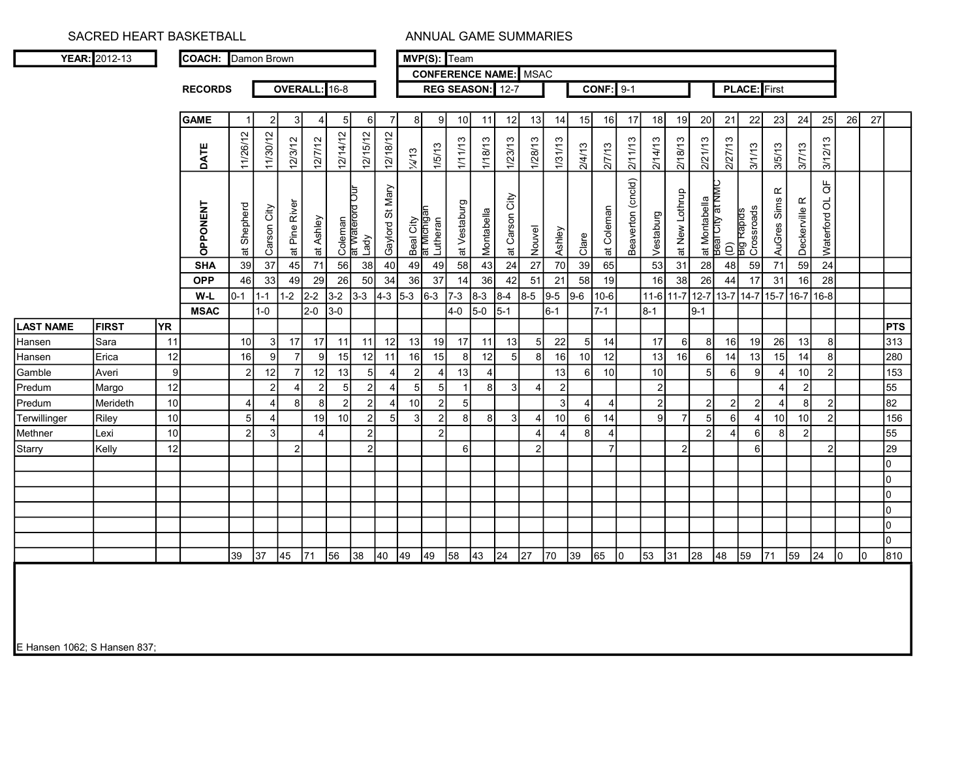|                                                       | YEAR: 2012-13 |           |                 | Damon Brown    |                |                       |                |                            |                |                 |                  | MVP(S): Team                         |                  |                       |                | <b>CONFERENCE NAME:</b> MSAC |                |                |                  |                   |                 |                |                                                  |                    |                          |                          |                |                                                     |    |    |                 |
|-------------------------------------------------------|---------------|-----------|-----------------|----------------|----------------|-----------------------|----------------|----------------------------|----------------|-----------------|------------------|--------------------------------------|------------------|-----------------------|----------------|------------------------------|----------------|----------------|------------------|-------------------|-----------------|----------------|--------------------------------------------------|--------------------|--------------------------|--------------------------|----------------|-----------------------------------------------------|----|----|-----------------|
|                                                       |               |           | <b>RECORDS</b>  |                |                | OVERALL: 16-8         |                |                            |                |                 |                  | REG SEASON: 12-7                     |                  |                       |                |                              |                |                | <b>CONF: 9-1</b> |                   |                 |                |                                                  |                    | <b>PLACE:</b> First      |                          |                |                                                     |    |    |                 |
|                                                       |               |           |                 |                |                |                       |                |                            |                |                 |                  |                                      |                  |                       |                |                              |                |                |                  |                   |                 |                |                                                  |                    |                          |                          |                |                                                     |    |    |                 |
|                                                       |               |           | <b>GAME</b>     |                | $\overline{2}$ | 3                     |                | 5                          | 6              |                 |                  | $\mathbf{Q}$                         | 10 <sup>1</sup>  | 11                    | 12             | 13                           | 14             | 15             | 16               | 17                | 18              | 19             | 20                                               | 21                 | 22                       | 23                       | 24             | 25                                                  | 26 | 27 |                 |
|                                                       |               |           | DATE            | 11/26/12       | 11/30/12       | 12/3/12               | 12/7/12        | 12/14/12                   | 12/15/12       | 12/18/12        | $\frac{1}{4}$ 13 | 1/5/13                               | 1/11/13          | 1/18/13               | 1/23/13        | 1/28/13                      | 1/31/13        | 2/4/13         | 2/7/13           | 2/11/13           | 2/14/13         | 2/18/13        | 2/21/13                                          | 2/27/13            | 3/1/13                   | 3/5/13                   | 3/7/13         | 3/12/13                                             |    |    |                 |
|                                                       |               |           | <b>OPPONENT</b> | at Shepherd    | Carson City    | at Pine River         | at Ashley      | Coleman<br>at waterord Our | Lady           | Gaylord St Mary |                  | Beal City<br>at Michigan<br>Lutheran | at Vestaburg     | Montabella            | at Carson City | Nouvel                       | Ashley         | Clare          | at Coleman       | Beaverton (cncld) | Vestaburg       | at New Lothrup | at Montabella<br>Beal City at NMC<br>City at NMC | $\widehat{\Theta}$ | Big Rapids<br>Crossroads | $\propto$<br>AuGres Sims | Deckerville R  | $\stackrel{\text{\tiny{L}}}{\circ}$<br>Naterford OL |    |    |                 |
|                                                       |               |           | <b>SHA</b>      | 39             | 37             | $\overline{45}$       | 71             | 56                         | 38             | 40              | 49               | 49                                   | 58               | 43                    | 24             | 27                           | 70             | 39             | 65               |                   | $\overline{53}$ | 31             | 28                                               | 48                 | 59                       | 71                       | 59             |                                                     |    |    |                 |
|                                                       |               |           | <b>OPP</b>      | 46             | 33             | 49                    | 29             | 26                         | 50             | 34              | 36               | 37                                   | 14               | 36                    | 42             | 51                           | 21             | 58             | 19               |                   | 16              | 38             | 26                                               | 44                 | 17                       | 31                       | 16             | 28                                                  |    |    |                 |
|                                                       |               |           | W-L             | $0-1$          | $1 - 1$        | $1-2$                 | $2 - 2$        | $3-2$                      | $3 - 3$        | $4 - 3$         | $5-3$            | $6 - 3$                              | $7-3$            | $8 - 3$               | $8-4$          | $8-5$                        | $9 - 5$        | $9-6$          | 10-6             |                   | $11-6$ 11-7     |                | $12 - 7$ 13-7                                    |                    | 14-7                     |                          | 15-7 16-7 16-8 |                                                     |    |    |                 |
|                                                       |               |           | <b>MSAC</b>     |                | $1-0$          |                       | $2-0$          | $3-0$                      |                |                 |                  |                                      | $4-0$            | $5-0$                 | $5-1$          |                              | $6 - 1$        |                | $7-1$            |                   | $8 - 1$         |                | $9 - 1$                                          |                    |                          |                          |                |                                                     |    |    |                 |
| <b>LAST NAME</b>                                      | <b>FIRST</b>  | <b>YR</b> |                 |                |                |                       |                |                            |                |                 |                  |                                      |                  |                       |                |                              |                |                |                  |                   |                 |                |                                                  |                    |                          |                          |                |                                                     |    |    | <b>PTS</b>      |
| Hansen                                                | Sara          | 11        |                 | 10             | 3              | 17                    | 17             | 11                         | 11             | 12              | 13               | 19                                   | 17               | 11                    | 13             | 5                            | 22             | 5 <sup>1</sup> | 14               |                   | 17              | 6              | 8                                                | 16                 | 19                       | 26                       | 13             | 8                                                   |    |    | 313             |
| Hansen                                                | Erica         | 12        |                 | 16             | 9              |                       | $\mathbf{Q}$   | 15                         | 12             | 11              | 16               | 15                                   | 8 <sup>1</sup>   | 12                    | 5              | 8                            | 16             | 10             | 12               |                   | 13              | 16             | 6                                                | 14                 | 13                       | 15                       | 14             | $\mathsf{R}$                                        |    |    | 280             |
|                                                       | Averi         | 9         |                 | $\mathfrak{p}$ | 12             |                       | 12             | 13                         | 5              |                 |                  | $\boldsymbol{\Delta}$                | 13               | $\boldsymbol{\Delta}$ |                |                              | 13             | 6              | 10               |                   | 10              |                | 5 <sup>1</sup>                                   | 6                  | q                        | $\Delta$                 | 10             | $\mathcal{P}$                                       |    |    | $\frac{1}{153}$ |
| Gamble                                                |               |           |                 |                | $\overline{2}$ | $\boldsymbol{\Delta}$ | $\overline{2}$ | 5 <sub>l</sub>             | $\mathcal{P}$  |                 |                  | 5                                    |                  | 8                     | ς              | 4                            | $\overline{2}$ |                |                  |                   | $\overline{2}$  |                |                                                  |                    |                          | Δ                        | $\mathfrak{p}$ |                                                     |    |    | $\overline{55}$ |
|                                                       | Margo         | 12        |                 |                |                |                       | 8I             | $2 \overline{2}$           | $\overline{2}$ |                 | 10               | 2 <sup>1</sup>                       | 5 <sup>1</sup>   |                       |                |                              | 3              |                | 4                |                   | 2               |                | $2 \overline{2}$                                 | $\overline{2}$     | 2                        | 4                        | 8 <sup>1</sup> | $\overline{2}$                                      |    |    | $\overline{82}$ |
|                                                       | Merideth      | 10        |                 | 4              | $\overline{4}$ | 8                     |                |                            |                |                 |                  |                                      |                  |                       |                |                              |                |                |                  |                   | 9               |                |                                                  |                    |                          |                          |                |                                                     |    |    |                 |
|                                                       | Riley         | 10        |                 | 5              | $\overline{4}$ |                       | 19             | 10 <sup>1</sup>            | $\overline{2}$ | 5               | 3                | $\overline{2}$                       | $\boldsymbol{8}$ | 8                     | 3              | 4                            | 10             | $6 \mid$       | 14               |                   |                 |                | 5 <sub>5</sub>                                   | 6                  |                          | 10 <sup>1</sup>          | 10             | $\overline{2}$                                      |    |    | 156             |
|                                                       | Lexi          | 10        |                 | 2 <sup>1</sup> | 3              |                       | Δ              |                            | $\overline{2}$ |                 |                  | $\overline{2}$                       |                  |                       |                |                              |                |                | Δ                |                   |                 |                | $\overline{2}$                                   |                    |                          | 8                        | $\overline{2}$ |                                                     |    |    | 55              |
| Predum<br>Predum<br>Terwillinger<br>Methner<br>Starry | Kelly         | 12        |                 |                |                | $\mathcal{P}$         |                |                            | $\mathcal{P}$  |                 |                  |                                      | 6                |                       |                | $\overline{2}$               |                |                | $\overline{7}$   |                   |                 | $\Omega$       |                                                  |                    |                          |                          |                | $\mathcal{P}$                                       |    |    | 29              |
|                                                       |               |           |                 |                |                |                       |                |                            |                |                 |                  |                                      |                  |                       |                |                              |                |                |                  |                   |                 |                |                                                  |                    |                          |                          |                |                                                     |    |    | <sup>0</sup>    |
|                                                       |               |           |                 |                |                |                       |                |                            |                |                 |                  |                                      |                  |                       |                |                              |                |                |                  |                   |                 |                |                                                  |                    |                          |                          |                |                                                     |    |    | $\Omega$        |
|                                                       |               |           |                 |                |                |                       |                |                            |                |                 |                  |                                      |                  |                       |                |                              |                |                |                  |                   |                 |                |                                                  |                    |                          |                          |                |                                                     |    |    | $\Omega$        |
|                                                       |               |           |                 |                |                |                       |                |                            |                |                 |                  |                                      |                  |                       |                |                              |                |                |                  |                   |                 |                |                                                  |                    |                          |                          |                |                                                     |    |    | $\Omega$        |
|                                                       |               |           |                 |                |                |                       |                |                            |                |                 |                  |                                      |                  |                       |                |                              |                |                |                  |                   |                 |                |                                                  |                    |                          |                          |                |                                                     |    |    | $\Omega$        |
|                                                       |               |           |                 |                |                |                       |                |                            |                |                 |                  |                                      |                  |                       |                |                              |                |                |                  |                   |                 |                |                                                  |                    |                          |                          |                |                                                     |    |    | $\Omega$        |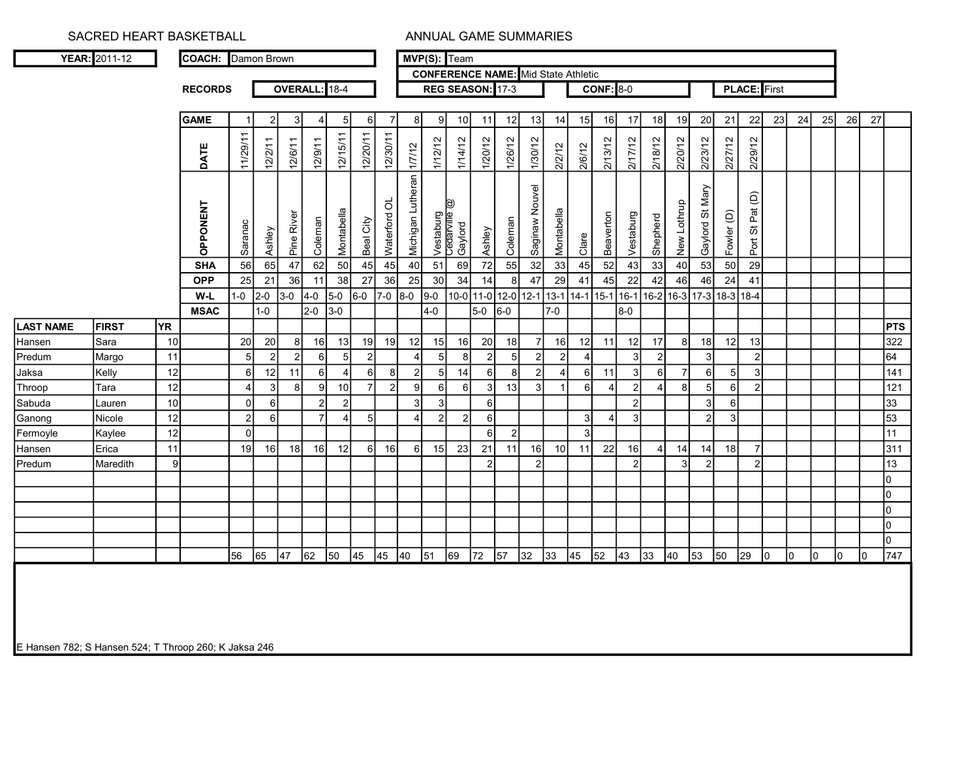|                                                           | YEAR: 2011-12 |          | COACH: Damon Brown       |                |                |                |                  |                       |                |                |                                  |                 | MVP(S): Team                               |                  |                |                                            |            |                |                  |                |                |                     |                      |                 |                     |    |    |    |    |    |                |
|-----------------------------------------------------------|---------------|----------|--------------------------|----------------|----------------|----------------|------------------|-----------------------|----------------|----------------|----------------------------------|-----------------|--------------------------------------------|------------------|----------------|--------------------------------------------|------------|----------------|------------------|----------------|----------------|---------------------|----------------------|-----------------|---------------------|----|----|----|----|----|----------------|
|                                                           |               |          |                          |                |                |                |                  |                       |                |                |                                  |                 |                                            |                  |                | <b>CONFERENCE NAME:</b> Mid State Athletic |            |                |                  |                |                |                     |                      |                 |                     |    |    |    |    |    |                |
|                                                           |               |          | <b>RECORDS</b>           |                |                |                | OVERALL: 18-4    |                       |                |                |                                  |                 | REG SEASON: 17-3                           |                  |                |                                            |            |                | <b>CONF: 8-0</b> |                |                |                     |                      |                 | <b>PLACE:</b> First |    |    |    |    |    |                |
|                                                           |               |          | <b>GAME</b>              |                | $\overline{2}$ | 3              | 4                | 5                     | $6 \mid$       | $\overline{7}$ | 8 <sup>1</sup>                   | 9 <sub>l</sub>  | 10 <sup>1</sup>                            | 11               | 12             | 13                                         | 14         | 15             | 16               | 17             | 18             | 19                  | 20                   | 21              | 22                  | 23 | 24 | 25 | 26 | 27 |                |
|                                                           |               |          | DATE                     | 11/29/11       | 12/2/11        | 12/6/11        | 12/9/11          | 12/15/11              | 12/20/11       | 12/30/11       | 1/7/12                           | 1/12/12         | 1/14/12                                    | 1/20/12          | 1/26/12        | 1/30/12                                    | 2/2/12     | 2/6/12         | 2/13/12          | 2/17/12        | 218/12         | 2/20/12             | 2/23/12              | 2/27/12         | 2/29/12             |    |    |    |    |    |                |
|                                                           |               |          | <b>OPPONENT</b>          | Saranac        | Ashley         | Pine River     | Coleman          | Montabella            | Beal City      | Waterford OL   | Michigan Lutheran                |                 | D)<br>Vestaburg<br>Cedarville i<br>Gaylord | Ashley           | Coleman        | Saginaw Nouvel                             | Montabella |                | Beaverton        | Vestaburg      | Shepherd       | New Lothrup         | Gaylord St Mary      | Fowler (D)      | Port St Pat (D)     |    |    |    |    |    |                |
|                                                           |               |          |                          |                |                |                |                  |                       |                | 45             |                                  | 51              |                                            |                  | 55             |                                            | 33         | Clare          |                  |                |                |                     |                      |                 |                     |    |    |    |    |    |                |
|                                                           |               |          | <b>SHA</b><br><b>OPP</b> | 56<br>25       | 65<br>21       | 47<br>36       | 62<br>11         | 50<br>38              | 45<br>27       | 36             | 40<br>25                         | 30              | 69<br>34                                   | 72<br>14         | 8              | 32<br>47                                   | 29         | 45<br>41       | 52<br>45         | 43<br>22       | 33<br>42       | 40<br>46            | 53<br>46             | 50<br>24        | 29<br>41            |    |    |    |    |    |                |
|                                                           |               |          | W-L                      | $1-0$          | $2-0$          | $3-0$          | $4-0$            | $5-0$                 | $6-0$          | $7-0$          | $8-0$                            | $9-0$           |                                            | $10-0$ 11-0      | $12-0$         | $12 - 1$                                   | $13-1$     | $14-1$ 15-1    |                  | 16-1           |                | 16-2 16-3           | $ 17-3 $             | $18-3$ 18-4     |                     |    |    |    |    |    |                |
|                                                           |               |          | <b>MSAC</b>              |                | $1-0$          |                | $2-0$            | $3-0$                 |                |                |                                  | $4-0$           |                                            | $5-0$            | $6-0$          |                                            | $7-0$      |                |                  | 8-0            |                |                     |                      |                 |                     |    |    |    |    |    |                |
| <b>LAST NAME</b>                                          | <b>FIRST</b>  | YR.      |                          |                |                |                |                  |                       |                |                |                                  |                 |                                            |                  |                |                                            |            |                |                  |                |                |                     |                      |                 |                     |    |    |    |    |    | PTS            |
| Hansen                                                    | Sara          | 10       |                          | 20             | 20             | 8 <sup>1</sup> | 16               | 13                    | 19             | 19             | 12                               | 15              | 16                                         | 20               | 18             | $\overline{7}$                             | 16         | 12             | 11               | 12             | 17             | 81                  | 18                   | 12              | 13                  |    |    |    |    |    | 322            |
| Predum                                                    | Margo         | 11       |                          | 5              | $\mathfrak{p}$ | $\mathfrak{p}$ | $6 \overline{6}$ | 5                     | $\overline{2}$ |                | $\overline{4}$<br>$\overline{2}$ | 5               | 8<br>14                                    | $\overline{2}$   | 5              | $\overline{2}$                             | 2          | $\overline{4}$ |                  | $\overline{3}$ | $\overline{2}$ |                     | 3                    |                 | $\overline{2}$      |    |    |    |    |    | 64             |
|                                                           |               |          |                          |                |                |                | 6                | $\overline{4}$        | $6 \mid$       | 8              |                                  | 5 <sub>5</sub>  |                                            | 6                | 8              | $\sqrt{2}$                                 | $\vert$    | 6              | 11               | 3              | 6              | $\overline{7}$      | $\,6\,$              | $5\overline{)}$ | $\overline{3}$      |    |    |    |    |    | 141            |
|                                                           | Kelly         | 12       |                          | $\,6\,$        | 12             | 11             |                  |                       |                |                |                                  |                 |                                            |                  |                |                                            |            |                |                  |                |                |                     |                      |                 |                     |    |    |    |    |    |                |
|                                                           | Tara          | 12       |                          | $\overline{4}$ | 3 <sup>1</sup> | 8 <sup>1</sup> | $\overline{9}$   | 10                    | $\overline{7}$ | 2              | $\mathsf{g}$                     | $6 \mid$        | $6 \mid$                                   | $\overline{3}$   | 13             | $\mathbf{3}$                               |            | 6 <sup>1</sup> | $\overline{4}$   | $\overline{2}$ | $\overline{4}$ | 8 <sup>1</sup>      | 5                    | $6\overline{6}$ | $\overline{2}$      |    |    |    |    |    | 121            |
|                                                           | Lauren        | 10       |                          | $\pmb{0}$      | $6 \mid$       |                | $\overline{2}$   | $\overline{2}$        |                |                | 3                                | $\overline{3}$  |                                            | 6                |                |                                            |            |                |                  | $\overline{2}$ |                |                     | 3                    | $6\overline{6}$ |                     |    |    |    |    |    | 33             |
|                                                           | Nicole        | 12       |                          | $\overline{c}$ | $6 \mid$       |                | $\overline{7}$   | $\boldsymbol{\Delta}$ | 5 <sub>5</sub> |                | $\overline{4}$                   | $\mathbf{2}$    | $\overline{2}$                             | $6 \overline{6}$ |                |                                            |            | 3 <sup>1</sup> | $\overline{4}$   | 3              |                |                     | $\overline{2}$       | $\mathbf{3}$    |                     |    |    |    |    |    | 53             |
|                                                           | Kaylee        | 12       |                          | $\mathbf 0$    |                |                |                  |                       |                |                |                                  |                 |                                            | -6               | $\overline{2}$ |                                            |            | $\overline{3}$ |                  |                |                |                     |                      |                 |                     |    |    |    |    |    | 11             |
| Jaksa<br>Throop<br>Sabuda<br>Ganong<br>Fermoyle<br>Hansen | Erica         | 11<br> 9 |                          | 19             | 16             | 18             | 16               | 12                    | $6 \mid$       | 16             | $6 \mid$                         | 15 <sub>l</sub> | 23                                         | 21               | 11             | 16<br>$\overline{2}$                       | 10         | 11             | 22               | 16             | $\vert$        | 14<br>$\mathcal{R}$ | 14<br>$\overline{2}$ | 18              | $\overline{7}$      |    |    |    |    |    | 311            |
|                                                           | Maredith      |          |                          |                |                |                |                  |                       |                |                |                                  |                 |                                            |                  |                |                                            |            |                |                  | $\overline{2}$ |                |                     |                      |                 | 2                   |    |    |    |    |    | 13<br>l0       |
|                                                           |               |          |                          |                |                |                |                  |                       |                |                |                                  |                 |                                            |                  |                |                                            |            |                |                  |                |                |                     |                      |                 |                     |    |    |    |    |    | l0             |
| Predum                                                    |               |          |                          |                |                |                |                  |                       |                |                |                                  |                 |                                            |                  |                |                                            |            |                |                  |                |                |                     |                      |                 |                     |    |    |    |    |    | $\overline{0}$ |
|                                                           |               |          |                          |                |                |                |                  |                       |                |                |                                  |                 |                                            |                  |                |                                            |            |                |                  |                |                |                     |                      |                 |                     |    |    |    |    |    | l0             |
|                                                           |               |          |                          |                |                |                |                  |                       |                |                |                                  |                 |                                            |                  |                |                                            |            |                |                  |                |                |                     |                      |                 |                     |    |    |    |    |    | lo             |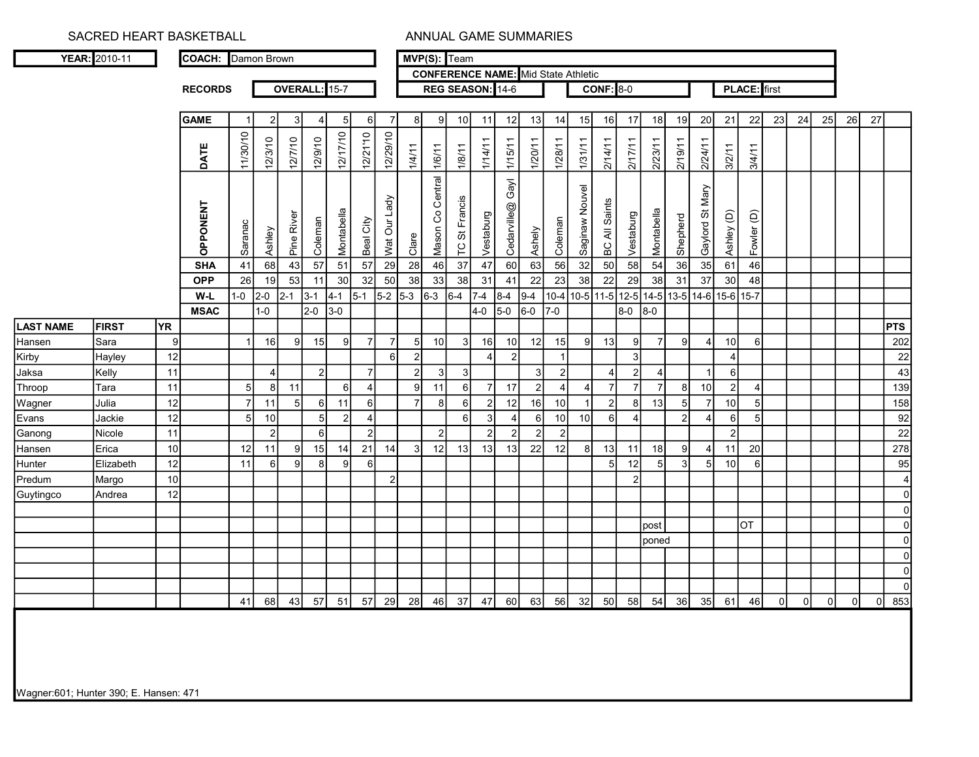|                                         | YEAR: 2010-11 |                 | COACH: Damon Brown |                |                          |                |                       |                |                |                 |                |                  |                  |                  | <b>CONFERENCE NAME:</b> Mid State Athletic |                  |                |                |                     |                       |                |                |                 |                          |                |    |    |    |    |    |                |
|-----------------------------------------|---------------|-----------------|--------------------|----------------|--------------------------|----------------|-----------------------|----------------|----------------|-----------------|----------------|------------------|------------------|------------------|--------------------------------------------|------------------|----------------|----------------|---------------------|-----------------------|----------------|----------------|-----------------|--------------------------|----------------|----|----|----|----|----|----------------|
|                                         |               |                 | <b>RECORDS</b>     |                |                          | OVERALL: 15-7  |                       |                |                |                 |                |                  |                  | REG SEASON: 14-6 |                                            |                  |                |                | <b>CONF: 8-0</b>    |                       |                |                |                 |                          | PLACE: first   |    |    |    |    |    |                |
|                                         |               |                 |                    |                |                          |                |                       |                |                |                 |                |                  |                  |                  |                                            |                  |                |                |                     |                       |                |                |                 |                          |                |    |    |    |    |    |                |
|                                         |               |                 | <b>GAME</b>        | $\overline{1}$ | $\overline{2}$           | $\overline{3}$ | $\boldsymbol{\Delta}$ | 5              | $6 \mid$       | $\overline{7}$  | 8 <sup>1</sup> | 9l               | 10 <sup>1</sup>  | 11               | 12                                         | 13               | 14             | 15             | 16                  | 17 <sup>1</sup>       | 18             | 19             | 20              | 21                       | 22             | 23 | 24 | 25 | 26 | 27 |                |
|                                         |               |                 | DATE               | 11/30/10       | 12/3/10                  | 12/7/10        | 12/9/10               | 12/17/10       | 12/21'10       | 12/29/10        | 1/4/11         | 1/6/11           | 1/8/11           | 1/14/11          | 1/15/11                                    | 1/20/11          | 1/28/11        | 1/31/11        | 2/14/11             | 2/17/11               | 2/23/11        | 2/19/11        | 2/24/11         | 3/2/11                   | 3/4/11         |    |    |    |    |    |                |
|                                         |               |                 | OPPONENT           | Saranac        | Ashley                   | Pine River     | Coleman               | Montabella     | Beal City      | Wat Our Lady    | Clare          | Mason Co Central | TC St Francis    | Vestaburg        | Gayl<br>Cedarville@                        | Ashely           | Coleman        | Saginaw Nouvel | BC All Saints       | Vestaburg             | Montabella     | Shepherd       | Gaylord St Mary | Ashley (D)               | Fowler (D)     |    |    |    |    |    |                |
|                                         |               |                 | <b>SHA</b>         | 41             | 68                       | 43             | 57                    | 51             | 57             | 29              | 28             | 46               | 37               | 47               | 60                                         | 63               | 56             | 32             | 50                  | 58                    | 54             | 36             | 35              | 61                       | 46             |    |    |    |    |    |                |
|                                         |               |                 | <b>OPP</b>         | 26             | 19                       | 53             | 11                    | 30             | 32             | 50              | 38             | 33               | 38               | 31               | 41                                         | 22               | 23             | 38             | 22                  | 29                    | 38             | 31             | 37              | 30                       | 48             |    |    |    |    |    |                |
|                                         |               |                 | W-L                | $1 - 0$        | 2-0                      | $2 - 1$        | 13-1                  | $4 - 1$        | $5-1$          |                 | $5-2$ 5-3 6-3  |                  | $6 - 4$          | $7 - 4$          | $8 - 4$                                    | $9-4$            | $10 - 4$       |                | 10-5 11-5 12-5 14-5 |                       |                |                |                 | 13-5 14-6 15-6 15-7      |                |    |    |    |    |    |                |
|                                         |               |                 | <b>MSAC</b>        |                | $1-0$                    |                | $2-0$                 | $3-0$          |                |                 |                |                  |                  | $4-0$            | $5-0$                                      | $6-0$            | 7-0            |                |                     | 8-0                   | 8-0            |                |                 |                          |                |    |    |    |    |    |                |
| <b>LAST NAME</b>                        | <b>FIRST</b>  | YR.             |                    |                |                          |                |                       |                |                |                 |                |                  |                  |                  |                                            |                  |                |                |                     |                       |                |                |                 |                          |                |    |    |    |    |    | <b>PTS</b>     |
| Hansen                                  | ISara         | $\overline{9}$  |                    | $\overline{1}$ | 16                       | 9l             | 15                    | 9              | $\overline{7}$ | $\overline{7}$  | 5 <sup>1</sup> | 10 <sup>1</sup>  | 3 <sup>1</sup>   | 16               | 10                                         | 12               | 15             | 9              | 13                  | 9                     | $\overline{7}$ | 9 <sup>1</sup> |                 | 10                       | 6              |    |    |    |    |    | 202            |
| Kirby                                   | Hayley        | 12              |                    |                |                          |                |                       |                |                | $6\phantom{1}6$ | $\overline{2}$ |                  |                  | $\overline{4}$   | 2                                          |                  | $\overline{1}$ |                |                     | $\mathbf{3}$          |                |                |                 | $\boldsymbol{\varDelta}$ |                |    |    |    |    |    | 22             |
| Jaksa                                   | Kelly         | 11              |                    |                | $\overline{\mathcal{A}}$ |                | $\overline{2}$        |                | $\overline{7}$ |                 | $\overline{2}$ | $\mathbf{3}$     | $\overline{3}$   |                  |                                            | 3                | $\overline{2}$ |                | $\overline{4}$      | $\overline{2}$        | $\overline{4}$ |                |                 | $6 \mid$                 |                |    |    |    |    |    | 43             |
| Throop                                  | Tara          | 11              |                    | 5              | 8 <sup>1</sup>           | 11             |                       | 6              | $\vert$        |                 | 9              | 11               | 6                | $\overline{7}$   | 17                                         | $\mathcal{P}$    | $\overline{4}$ | $\overline{4}$ | $\overline{7}$      | $\overline{7}$        | $\overline{7}$ | 8 <sup>1</sup> | 10              | $\vert$ 2                | $\overline{4}$ |    |    |    |    |    | 139            |
| Wagner                                  | Julia         | 12              |                    | $\overline{7}$ | 11                       | 5              | <sup>6</sup>          | 11             | $6 \mid$       |                 | $\overline{7}$ | 8 <sup>1</sup>   | $6 \overline{6}$ | $\overline{2}$   | 12                                         | 16               | 10             | $\overline{1}$ | $\overline{2}$      | 8                     | 13             | 5 <sub>l</sub> |                 | 10                       | 5              |    |    |    |    |    | 158            |
| Evans                                   | Jackie        | 12              |                    | 5              | 10                       |                | 5                     | $\overline{2}$ | $\overline{4}$ |                 |                |                  | $6 \mid$         | $\mathbf{3}$     | 4                                          | $6 \overline{6}$ | 10             | 10             | 6                   | $\boldsymbol{\Delta}$ |                | $\overline{2}$ |                 | 6                        | $\sqrt{5}$     |    |    |    |    |    | 92             |
| Ganong                                  | Nicole        | 11              |                    |                | $\overline{2}$           |                | $6 \mid$              |                | $\overline{2}$ |                 |                | $\overline{2}$   |                  | $\overline{2}$   | 2 <sup>1</sup>                             | 2                | $\vert$ 2      |                |                     |                       |                |                |                 | $\overline{2}$           |                |    |    |    |    |    | 22             |
|                                         | <b>E</b> rica | 10 <sup>1</sup> |                    | 12             | 11                       | 9              | 15 <sup>1</sup>       | 14             | 21             | 14              | $\overline{3}$ | 12               | 13               | 13               | 13                                         | 22               | 12             | 8              | 13                  | 11                    | 18             | 9 <sub>l</sub> |                 | 11                       | 20             |    |    |    |    |    | 278            |
|                                         |               |                 |                    |                |                          |                |                       |                |                |                 |                |                  |                  |                  |                                            |                  |                |                | 5                   | 12                    | $\overline{5}$ | 3 <sup>1</sup> | 5 <sup>1</sup>  | 10                       | 6              |    |    |    |    |    | 95             |
|                                         | Elizabeth     | 12              |                    | 11             | 6                        | 9I             | 8                     | 9              | $6 \mid$       |                 |                |                  |                  |                  |                                            |                  |                |                |                     |                       |                |                |                 |                          |                |    |    |    |    |    |                |
|                                         | Margo         | 10              |                    |                |                          |                |                       |                |                | $\overline{2}$  |                |                  |                  |                  |                                            |                  |                |                |                     | $\overline{2}$        |                |                |                 |                          |                |    |    |    |    |    | 4              |
|                                         | Andrea        | 12              |                    |                |                          |                |                       |                |                |                 |                |                  |                  |                  |                                            |                  |                |                |                     |                       |                |                |                 |                          |                |    |    |    |    |    | $\overline{0}$ |
|                                         |               |                 |                    |                |                          |                |                       |                |                |                 |                |                  |                  |                  |                                            |                  |                |                |                     |                       |                |                |                 |                          |                |    |    |    |    |    | $\mathbf{0}$   |
|                                         |               |                 |                    |                |                          |                |                       |                |                |                 |                |                  |                  |                  |                                            |                  |                |                |                     |                       | post           |                |                 |                          | OT             |    |    |    |    |    | $\mathbf{0}$   |
|                                         |               |                 |                    |                |                          |                |                       |                |                |                 |                |                  |                  |                  |                                            |                  |                |                |                     |                       | <b>poned</b>   |                |                 |                          |                |    |    |    |    |    | $\Omega$       |
|                                         |               |                 |                    |                |                          |                |                       |                |                |                 |                |                  |                  |                  |                                            |                  |                |                |                     |                       |                |                |                 |                          |                |    |    |    |    |    | $\Omega$       |
|                                         |               |                 |                    |                |                          |                |                       |                |                |                 |                |                  |                  |                  |                                            |                  |                |                |                     |                       |                |                |                 |                          |                |    |    |    |    |    | $\Omega$       |
| Hansen<br>Hunter<br>Predum<br>Guytingco |               |                 |                    |                |                          |                |                       |                |                |                 |                |                  |                  |                  |                                            |                  |                |                |                     |                       |                |                |                 |                          |                |    |    |    |    |    | $\Omega$       |

Wagner:601; Hunter 390; E. Hansen: 471